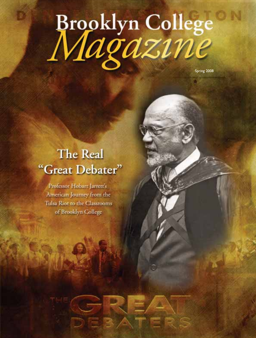# Brooklyn College

Spring 2008

## The Real "Great Debater"

Professor Hobart Jarrett's American Journey from the Tulsa Riot to the Classrooms of Brooklyn College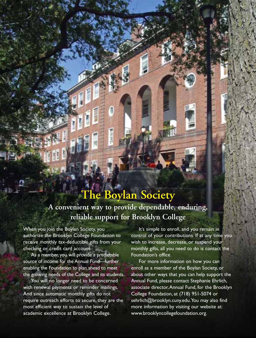## **The Boylan Society A convenient way to provide dependable, enduring, reliable support for Brooklyn College**

When you join the Boylan Society, you authorize the Brooklyn College Foundation to receive monthly tax-deductible gifts from your checking or credit card account.

As a member, you will provide a predictable source of income for the Annual Fund—further enabling the Foundation to plan ahead to meet the growing needs of the College and its students.

You will no longer need to be concerned with renewal payments or reminder mailings. And since automatic monthly gifts do not require outreach efforts to secure, they are the most efficient way to sustain the level of academic excellence at Brooklyn College.

It's simple to enroll, and you remain in control of your contributions. If at any time you wish to increase, decrease, or suspend your monthly gifts, all you need to do is contact the Foundation's office.

For more information on how you can enroll as a member of the Boylan Society, or about other ways that you can help support the Annual Fund, please contact Stephanie Ehrlich, associate director,Annual Fund, for the Brooklyn College Foundation, at (718) 951-5074 or sehrlich@brooklyn.cuny.edu.You may also find more information by visiting our website at: www.brooklyncollegefoundation.org.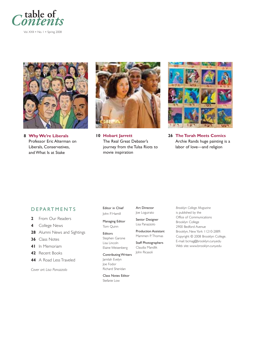

Vol. XXII • No. 1 • Spring 2008



**8 Why We're Liberals** Professor Eric Alterman on Liberals, Conservatives, and What Is at Stake



**10 Hobart Jarrett** The Real Great Debater's journey from the Tulsa Riots to movie inspiration



**26 The Torah Meets Comics** Archie Rands huge painting is a labor of love—and religion

#### DEPARTMENTS

- **2** From Our Readers
- **4** College News
- **28** Alumni News and Sightings
- **36** Class Notes
- **41** In Memoriam
- **42** Recent Books
- **44** A Road Less Traveled

*Cover art: Lisa Panazzolo*

Editor in Chief John P. Hamill

Managing Editor Tom Quinn

#### Editors Stephen Garone Lisa Lincoln

Elaine Weisenberg

Contributing Writers Jamilah Evelyn Joe Fodor Richard Sheridan

Class Notes Editor Stefanie Low

Art Director Joe Loguirato

Senior Designer Lisa Panazzolo

Production Assistant Mammen P. Thomas

Staff Photographers Claudia Mandlik John Ricasoli

*Brooklyn College Magazine* is published by the Office of Communications Brooklyn College 2900 Bedford Avenue Brooklyn, New York 11210-2889. Copyright © 2008 Brooklyn College. E-mail: bcmag@brooklyn.cuny.edu Web site: www.brooklyn.cuny.edu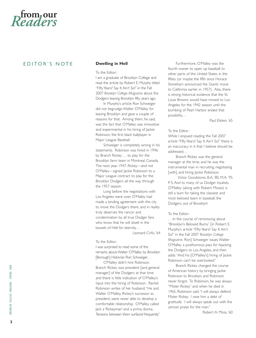

#### EDITOR'S NOTE **Dwelling in Hell**

To the Editor:

I am a graduate of Brooklyn College and read the article by Robert E. Murphy titled "Fifty Years? Say It Ain't So!" in the Fall 2007 *Brooklyn College Magazine* about the Dodgers leaving Brooklyn fifty years ago.

In Murphy's article Ron Schweiger did not begrudge Walter O'Malley for leaving Brooklyn and gave a couple of reasons for that. Among them, he said, was the fact that O'Malley was innovative and experimental in his hiring of Jackie Robinson, the first black ballplayer in Major League Baseball.

Schweiger is completely wrong in his statements. Robinson was hired in 1946 by Branch Rickey . . . to play for the Brooklyn farm team in Montreal, Canada. The next year, 1947, Rickey––and not O'Malley––signed Jackie Robinson to a Major League contract to play for the Brooklyn Dodgers all the way through the 1957 season.

Long before the negotiations with Los Angeles were over, O'Malley had made a binding agreement with the city to move the Dodgers there, and in reality truly deserves the rancor and condemnation by all true Dodger fans who know that he will dwell in the bowels of Hell for eternity. . .

Leonard Crifo, '64

To the Editor:

I was surprised to read some of the remarks about Walter O'Malley by Brooklyn [Borough] Historian Ron Schweiger. . .

O'Malley didn't hire Robinson. Branch Rickey was president [and general manager] of the Dodgers at that time and there is little indication of O'Malley's input into the hiring of Robinson. Rachel Robinson writes of her husband,"He and Walter O'Malley, Rickey's successor as president, were never able to develop a comfortable relationship. O'Malley called Jack a 'Rickeyman' and a prima donna. Tensions between them surfaced frequently."

Furthermore, O'Malley was the fourth owner to open up baseball to other parts of the United States in the fifties (or maybe the fifth since Horace Stoneham announced the Giants' move to California earlier in 1957). Also, there is strong historical evidence that the St. Louis Browns would have moved to Los Angeles for the 1942 season until the bombing of Pearl Harbor ended that possibility. . .

Paul Elstein, '65

#### To the Editor:

While I enjoyed reading the Fall 2007 article "Fifty Years? Say It Ain't So!" there is an inaccuracy in it that I believe should be addressed. . .

Branch Rickey was the general manager at the time, and he was the instrumental man in recruiting, negotiating [with], and hiring Jackie Robinson.

Victor Goodstone, B.A. '80, M.A. '95 P. S. And to many of us Dodger loyalists, O'Malley (along with Robert Moses) is still a bum for taking the classiest and most beloved team in baseball, the Dodgers, out of Brooklyn!

#### To the Editor:

. . . In the course of reminiscing about "Brooklyn's Beloved Bums," [in Robert E. Murphy's article "Fifty Years? Say It Ain't So!" in the Fall 2007 *Brooklyn College Magazine,* Ron] Schweiger issues Walter O'Malley a posthumous pass for hijacking the Dodgers to Los Angeles, and then adds:"And his [O'Malley's] hiring of Jackie Robinson can't be overlooked."

Branch Rickey changed the course of American history by bringing Jackie Robinson to Brooklyn, and Robinson never forgot. To Robinson, he was always "Mister Rickey," and when he died in 1965, Robinson said,"I will always defend Mister Rickey. I owe him a debt of gratitude. I will always speak out with the utmost praise for the man."

Robert A. Moss, '60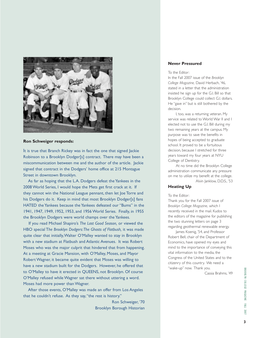

#### **Ron Schweiger responds:**

It is true that Branch Rickey was in fact the one that signed Jackie Robinson to a Brooklyn Dodger[s] contract. There may have been a miscommunication between me and the author of the article. Jackie signed that contract in the Dodgers' home office at 215 Montague Street in downtown Brooklyn.

As far as hoping that the L.A. Dodgers defeat the Yankees in the 2008 World Series, I would hope the Mets get first crack at it. If they cannot win the National League pennant, then let Joe Torre and his Dodgers do it. Keep in mind that most Brooklyn Dodger[s] fans HATED the Yankees because the Yankees defeated our "Bums" in the 1941, 1947, 1949, 1952, 1953, and 1956 World Series. Finally, in 1955 the Brooklyn Dodgers were world champs over the Yankees.

If you read Michael Shapiro's *The Last Good Season,* or viewed the HBO special T*he Brooklyn Dodgers:The Ghosts of Flatbush,* it was made quite clear that initially,Walter O'Malley wanted to stay in Brooklyn with a new stadium at Flatbush and Atlantic Avenues. It was Robert Moses who was the major culprit that hindered that from happening. At a meeting at Gracie Mansion, with O'Malley, Moses, and Mayor Robert Wagner, it became quite evident that Moses was willing to have a new stadium built for the Dodgers. However, he offered that to O'Malley to have it erected in QUEENS, not Brooklyn. Of course O'Malley refused while Wagner sat there without uttering a word. Moses had more power than Wagner.

After those events, O'Malley was made an offer from Los Angeles that he couldn't refuse. As they say,"the rest is history."

> Ron Schweiger, '70 Brooklyn Borough Historian

#### **Never Pressured**

#### To the Editor:

In the Fall 2007 issue of the *Brooklyn College Magazine,* David Herbach, '46, stated in a letter that the administration insisted he sign up for the G.I. Bill so that Brooklyn College could collect G.I. dollars. He "gave in" but is still bothered by the decision.

I, too, was a returning veteran. My service was related to World War II and I elected not to use the G.I. Bill during my two remaining years at the campus. My purpose was to save the benefits in hopes of being accepted to graduate school. It proved to be a fortuitous decision, because I stretched for three years toward my four years at NYU College of Dentistry.

At no time did the Brooklyn College administration communicate any pressure on me to utilize my benefit at the college. Alvin Janklow, D.D.S., '53

#### **Heating Up**

#### To the Editor:

Thank you for the Fall 2007 issue of *Brooklyn College Magazine,* which I recently received in the mail. Kudos to the editors of the magazine for publishing the two stunning letters on page 3 regarding geothermal renewable energy.

James Koenig, '54, and Professor Robert Bell, chair of the Department of Economics, have opened my eyes and mind to the importance of conveying this vital information to the media, the Congress of the United States and to the citizenry of this country. We need a "wake-up" now. Thank you.

Cassia Brahms, '49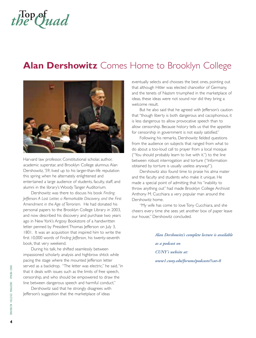## **Top of** *the Quad*

### **Alan Dershowitz** Comes Home to Brooklyn College



Harvard law professor, Constitutional scholar, author, academic superstar, and Brooklyn College alumnus Alan Dershowitz, '59, lived up to his larger-than-life reputation this spring when he alternately enlightened and entertained a large audience of students, faculty, staff, and alumni in the library's Woody Tanger Auditorium.

Dershowitz was there to discuss his book *Finding Jefferson: A Lost Letter, a Remarkable Discovery, and the First Amendment in the Age of Terrorism.* He had donated his personal papers to the Brooklyn College Library in 2003, and now described his discovery and purchase two years ago in New York's Argosy Bookstore of a handwritten letter penned by President Thomas Jefferson on July 3, 1801. It was an acquisition that inspired him to write the first 10,000 words of *Finding Jefferson,* his twenty-seventh book, that very weekend.

During his talk, he shifted seamlessly between impassioned scholarly analysis and highbrow shtick while pacing the stage where the mounted Jefferson letter served as a backdrop. "The letter was electric," he said,"in that it deals with issues such as the limits of free speech, censorship, and who should be empowered to draw the line between dangerous speech and harmful conduct."

Dershowitz said that he strongly disagrees with Jefferson's suggestion that the marketplace of ideas

eventually selects and chooses the best ones, pointing out that although Hitler was elected chancellor of Germany, and the tenets of Nazism triumphed in the marketplace of ideas, these ideas were not sound nor did they bring a welcome result.

But he also said that he agreed with Jefferson's caution that "though liberty is both dangerous and cacophonous, it is less dangerous to allow provocative speech than to allow censorship. Because history tells us that the appetite for censorship in government is not easily satisfied."

Following his remarks, Dershowitz fielded questions from the audience on subjects that ranged from what to do about a too-loud call to prayer from a local mosque ("You should probably learn to live with it.") to the line between robust interrogation and torture ("Information obtained by torture is usually useless anyway!").

Dershowitz also found time to praise his alma mater and the faculty and students who make it unique. He made a special point of admitting that his "inability to throw anything out" had made Brooklyn College Archivist Anthony M. Cucchiara a very popular man around the Dershowitz home.

"My wife has come to love Tony Cucchiara, and she cheers every time she sees yet another box of paper leave our house," Dershowitz concluded.

> *Alan Dershowitz's complete lecture is available as a podcast on CUNY's website at: www1.cuny.edu/forums/podcasts/?cat=8*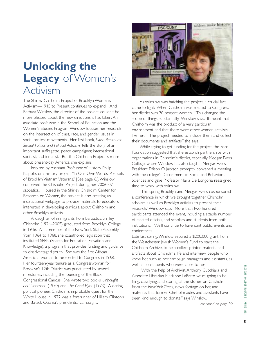## **Unlocking the Legacy** of Women's Activism

The Shirley Chisholm Project of Brooklyn Women's Activism—1945 to Present continues to expand. And Barbara Winslow, the director of the project, couldn't be more pleased about the new directions it has taken. An associate professor in the School of Education and the Women's Studies Program,Winslow focuses her research on the intersection of class, race, and gender issues in social protest movements. Her first book, *Sylvia Pankhurst: Sexual Politics and Political Activism,* tells the story of an important suffragette, peace campaigner, international socialist, and feminist. But the Chisholm Project is more about present-day America, she explains.

Inspired by Assistant Professor of History Philip Napoli's oral history project,"In Our Own Words: Portraits of Brooklyn Vietnam Veterans," [See page 6.],Winslow conceived the Chisholm Project during her 2006–07 sabbatical. Housed in the Shirley Chisholm Center for Research on Women, the project is also creating an instructional webpage to provide materials to educators interested in developing curricula about Chisholm and other Brooklyn activists.

A daughter of immigrants from Barbados, Shirley Chisholm (1924–2005) graduated from Brooklyn College in 1946. As a member of the New York State Assembly from 1964 to 1968, she coauthored legislation that instituted SEEK (Search for Education, Elevation, and Knowledge), a program that provides funding and guidance to disadvantaged youth. She was the first African American woman to be elected to Congress in 1968. Her fourteen-year tenure as a Congresswoman for Brooklyn's 12th District was punctuated by several milestones, including the founding of the Black Congressional Caucus. She wrote two books, *Unbought and Unbossed* (1970) and *The Good Fight* (1973). A daring political pioneer, Chisholm's improbable quest for the White House in 1972 was a forerunner of Hillary Clinton's and Barack Obama's presidential campaigns.



As Winslow was hatching the project, a crucial fact came to light: When Chisholm was elected to Congress, her district was 70 percent women. "This changed the scope of things substantially,"Winslow says. It meant that Chisholm was the product of a very particular environment and that there were other women activists like her. "The project needed to include them and collect their documents and artifacts," she says.

While trying to get funding for the project, the Ford Foundation suggested that she establish partnerships with organizations in Chisholm's district, especially Medgar Evers College, where Winslow has also taught. Medgar Evers President Edison O. Jackson promptly convened a meeting with the college's Department of Social and Behavioral Sciences and gave Professor Maria De Longoria reassigned time to work with Winslow.

"This spring Brooklyn and Medgar Evers cosponsored a conference in which we brought together Chisholm scholars as well as Brooklyn activists to present their research,"Winslow says. More than two hundred participants attended the event, including a sizable number of elected officials, and scholars and students from both institutions. "We'll continue to have joint public events and conferences."

Late last spring,Winslow secured a \$200,000 grant from the Westchester Jewish Women's Fund to start the Chisholm Archive, to help collect printed material and artifacts about Chisholm's life and interview people who knew her, such as her campaign managers and assistants, as well as constituents who were close to her.

"With the help of Archivist Anthony Cucchiara and Associate Librarian Marianne LaBatto we're going to be filing, classifying, and storing all the stories on Chisholm from the *New York Times,* news footage on her, and materials that former Chisholm aides and assistants have been kind enough to donate," says Winslow.

*continued on page 39*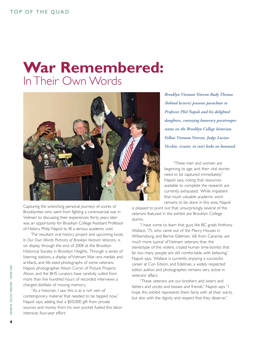## **War Remembered:** In Their Own Words



Capturing the wrenching personal journeys of scores of Brooklynites who went from fighting a controversial war in Vietnam to discussing their experiences thirty years later was an opportunity for Brooklyn College Assistant Professor of History Philip Napoli to fill a serious academic void.

The resultant oral history project and upcoming book, *In Our Own Words: Portraits of Brooklyn Vietnam Veterans,* is on display through the end of 2008 at the Brooklyn Historical Society in Brooklyn Heights. Through a series of listening stations, a display of Vietnam War–era medals and artifacts, and life-sized photographs of some veterans, Napoli, photographer Alison Coryn of Picture Projects Alison, and the BHS curators have carefully culled from more than five hundred hours of recorded interviews a charged distillate of moving memory.

"As a historian, I saw this is as a rich vein of contemporary material that needed to be tapped now," Napoli says, adding that a \$50,000 gift from private sources and money from his own pocket fueled this laborintensive, four-year effort.

*Brooklyn Vietnam Veteran Rudy Thomas (behind lectern) presents parachute to Professor Phil Napoli and his delighted daughters, conveying honorary paratrooper status on the Brooklyn College historian. Fellow Vietnam Veteran, Judge Lucian Vecchio, (center, in suit) looks on bemused.*

"These men and women are beginning to age, and their vital stories need to be captured immediately," Napoli says, noting that resources available to complete the research are currently exhausted. While impatient that much valuable academic work remains to be done in this area, Napoli

is pleased to point out that, unsurprisingly, several of the veterans featured in the exhibit are Brooklyn College alumni.

"I have come to learn that guys like BC grads Anthony Wallace, '75, who came out of the Marcy Houses in Williamsburg, and Bernie Edelman, '68, from Canarsie, are much more typical of Vietnam veterans than the stereotype of the violent, crazed human time-bombs that far too many people are still comfortable with believing," Napoli says. Wallace is currently enjoying a successful career at Con Edison, and Edelman, a widely respected editor, author, and photographer, remains very active in veterans' affairs.

"These veterans are our brothers and sisters and fathers and uncles and bosses and friends," Napoli says."I hope this exhibit represents them fairly, with all their warts, but also with the dignity and respect that they deserve."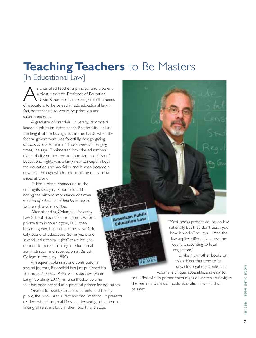## **Teaching Teachers** to Be Masters

[In Educational Law]

s a certified teacher, a principal, and a parentactivist, Associate Professor of Education David Bloomfield is no stranger to the needs of educators to be versed in U.S. educational law. In fact, he teaches it to would-be principals and superintendents.

A graduate of Brandeis University, Bloomfield landed a job as an intern at the Boston City Hall at the height of the busing crisis in the 1970s, when the federal government was forcefully desegregating schools across America. "Those were challenging times," he says. "I witnessed how the educational rights of citizens became an important social issue." Educational rights was a fairly new concept in both the education and law fields, and it soon became a new lens through which to look at the many social issues at work.

"It had a direct connection to the civil rights struggle," Bloomfield adds, noting the historic importance of *Brown v. Board of Education of Topeka* in regard to the rights of minorities.

After attending Columbia University Law School, Bloomfield practiced law for a private firm in Washington, D.C., then became general counsel to the New York City Board of Education. Some years and several "educational rights" cases later, he decided to pursue training in educational administration and supervision at Baruch College in the early 1990s.

A frequent columnist and contributor in several journals, Bloomfield has just published his first book, *American Public Education Law* (Peter Lang Publishing, 2007), an unorthodox volume that has been praised as a practical primer for educators.

Geared for use by teachers, parents, and the lay public, the book uses a "fact and find" method. It presents readers with short, real-life scenarios and guides them in finding all relevant laws in their locality and state.

American Public **Education Law** "Most books present education law Bloomfield

nationally, but they don't teach you how it works," he says. "And the law applies differently across the country, according to local regulations."

Unlike many other books on this subject that tend to be unwieldy legal casebooks, this

volume is unique, accessible, and easy to

use. Bloomfield's primer encourages educators to navigate the perilous waters of public education law—and sail to safety.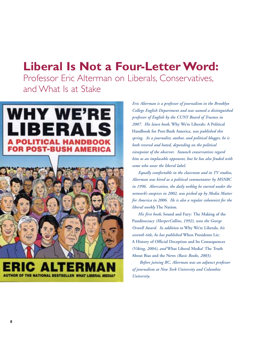## **Liberal Is Not a Four-Letter Word:**

Professor Eric Alterman on Liberals, Conservatives, and What Is at Stake

#### **WHY WE'RE** RAI LIBI Е POLITICAL HANDROO R POST-BUSH AMERIC



*Eric Alterman is a professor of journalism in the Brooklyn College English Department and was named a distinguished professor of English by the CUNY Board of Trustees in 2007. His latest book,* **Why We're Liberals: A Political Handbook for Post-Bush America,** *was published this spring. As a journalist, author, and political blogger, he is both revered and hated, depending on the political viewpoint of the observer. Staunch conservatives regard him as an implacable opponent, but he has also feuded with some who wear the liberal label.*

*Equally comfortable in the classroom and in TV studios, Alterman was hired as a political commentator by MSNBC in 1996. Altercation, the daily weblog he started under the network's auspices in 2002, was picked up by Media Matter for America in 2006. He is also a regular columnist for the liberal weekly* **The Nation.**

*His first book,* **Sound and Fury: The Making of the Punditocracy** *(HarperCollins, 1992), won the George Orwell Award. In addition to* **Why We're Liberals,** *his seventh title, he has published* **When Presidents Lie: A History of Official Deception and Its Consequences** *(Viking, 2004), and* **What Liberal Media? The Truth About Bias and the News** *(Basic Books, 2003).* 

*Before joining BC, Alterman was an adjunct professor of journalism at New York University and Columbia University.*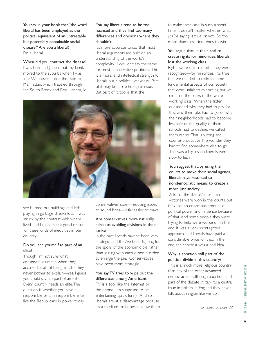You say in your book that "the word liberal has been employed as the political equivalent of an untreatable but potentially containable social disease." Are you a liberal? I'm a liberal.

When did you contract the disease? I was born in Queens but my family moved to the suburbs when I was four.Whenever I took the train to Manhattan, which traveled through the South Bronx and East Harlem, I'd

#### You say liberals tend to be too nuanced and they find too many differences and divisions where they shouldn't.

It's more accurate to say that most liberal arguments are built on an understanding of the world's complexity. I wouldn't say the same for most conservative positions. This is a moral and intellectual strength for liberals but a political weakness. Part of it may be a psychological issue. But part of it, too, is that the



see burned-out buildings and kids playing in garbage-strewn lots. I was struck by the contrast with where I lived, and I didn't see a good reason for these kinds of inequities in our country.

#### Do you see yourself as part of an elite?

Though I'm not sure what conservatives mean when they accuse liberals of being elitist—they never bother to explain—yes, I guess you could say I'm part of an elite. Every country needs an elite.The question is whether you have a responsible or an irresponsible elite, like the Republicans in power today.

conservatives' case—reducing issues to sound bites—is far easier to make.

#### Are conservatives more naturally adroit at avoiding divisions in their ranks?

In the past liberals haven't been very strategic, and they've been fighting for the spoils of the economic pie rather than joining with each other in order to enlarge the pie. Conservatives have been more strategic.

#### You say TV tries to wipe out the differences among Americans.

TV is a tool, like the Internet or the phone. It's supposed to be entertaining, quick, funny. And so liberals are at a disadvantage because it's a medium that doesn't allow them to make their case in such a short time. It doesn't matter whether what you're saying is true or not. So the more shameless side tends to win.

#### You argue that, in their zeal to create rights for minorities, liberals lost the working class.

Rights were not created—they were recognized—for minorities. It's true that we needed to redress some fundamental aspects of our society that were unfair to minorities, but we did it on the backs of the white working class. When the latter questioned why they had to pay for this, why their jobs had to go, or why their neighborhoods had to become less safe or the quality of their schools had to decline, we called them racists.That is wrong and counterproductive. No wonder they had to find somewhere else to go. This was a big lesson liberals were slow to learn.

#### You suggest that, by using the courts to move their social agenda, liberals have resorted to nondemocratic means to create a more just society.

A lot of the liberals' short-term victories were won in the courts, but they lost an enormous amount of political power and influence because of that. And some people they were trying to help were worse off in the end. It was a very shortsighted approach, and liberals have paid a considerable price for that. In the end, the shortcut was a bad idea.

#### Why is abortion still part of the political divide in this country?

This is a much more religious country than any of the other advanced democracies—although abortion is till part of the debate in Italy. It's a central issue in politics. In England they never talk about religion like we do.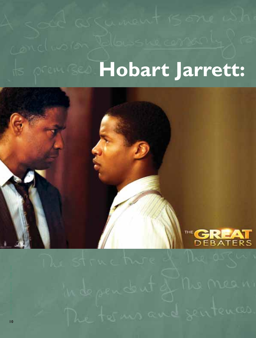## **MOBART Jarrett:**



The forms and sentences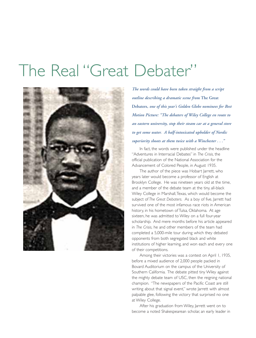## The Real "Great Debater"



*The words could have been taken straight from a script outline describing a dramatic scene from* **The Great Debaters,** *one of this year's Golden Globe nominees for Best Motion Picture: "The debaters of Wiley College en route to an eastern university, stop their steam car at a general store to get some water. A half-intoxicated upholder of Nordic superiority shoots at them twice with a Winchester . . ."* 

In fact, the words were published under the headline "Adventures in Interracial Debates" in *The Crisis,* the official publication of the National Association for the Advancement of Colored People, in August 1935.

The author of the piece was Hobart Jarrett, who years later would become a professor of English at Brooklyn College. He was nineteen years old at the time, and a member of the debate team at the tiny, all-black Wiley College in Marshall,Texas, which would become the subject of *The Great Debaters.* As a boy of five, Jarrett had survived one of the most infamous race riots in American history, in his hometown of Tulsa, Oklahoma. At age sixteen, he was admitted to Wiley on a full four-year scholarship. And mere months before his article appeared in *The Crisis,* he and other members of the team had completed a 5,000-mile tour during which they debated opponents from both segregated black and white institutions of higher learning, and won each and every one of their competitions.

Among their victories was a contest on April 1, 1935, before a mixed audience of 2,000 people packed in Bovard Auditorium on the campus of the University of Southern California. The debate pitted tiny Wiley against the mighty debate team of USC, then the reigning national champion. "The newspapers of the Pacific Coast are still writing about that signal event," wrote Jarrett with almost palpable glee, following the victory that surprised no one at Wiley College.

After his graduation from Wiley, Jarrett went on to become a noted Shakespearean scholar, an early leader in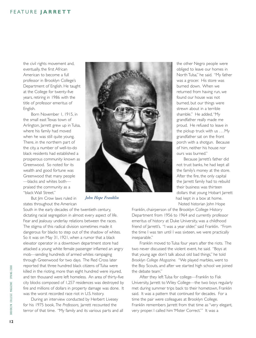#### FEATURE **JARRETT**

the civil rights movement and, eventually, the first African American to become a full professor in Brooklyn College's Department of English. He taught at the College for twenty-five years, retiring in 1986 with the title of professor emeritus of English.

Born November 1, 1915, in the small east Texas town of Arlington, Jarrett grew up in Tulsa, where his family had moved when he was still quite young. There, in the northern part of the city, a number of well-to-do black residents had established a prosperous community known as Greenwood. So noted for its wealth and good fortune was Greenwood that many people ––blacks and whites both–– praised the community as a "black Wall Street."

But Jim Crow laws ruled in states throughout the American

South in the early decades of the twentieth century, dictating racial segregation in almost every aspect of life. Fear and jealousy underlay relations between the races. The stigma of this radical division sometimes made it dangerous for blacks to step out of the shadow of whites. So it was on May 31, 1921, when a rumor that a black elevator operator in a downtown department store had attacked a young white female passenger inflamed an angry mob––sending hundreds of armed whites rampaging through Greenwood for two days. The Red Cross later reported that three hundred black citizens of Tulsa were killed in the rioting, more than eight hundred were injured, and ten thousand were left homeless. An area of thirty-five city blocks composed of 1,257 residences was destroyed by fire and millions of dollars in property damage was done. It was the worst recorded race riot in U.S. history.

During an interview conducted by Herbert Livesey for his 1975 book, *The Professors,* Jarrett recounted the terror of that time. "My family and its various parts and all



*John Hope Franklin*

the other Negro people were obliged to leave our homes in North Tulsa," he said. "My father was a grocer. His store was burned down. When we returned from having run, we found our house was not burned, but our things were strewn about in a terrible shamble." He added,"My grandfather really made me proud. He refused to leave in the pickup truck with us . . . My grandfather sat on the front porch with a shotgun. Because of him, neither his house nor ours was burned."

Because Jarrett's father did not trust banks, he had kept all the family's money at the store. After the fire, the only capital the Jarrett family had to rebuild their business was thirteen dollars that young Hobart Jarrett had kept in a box at home. Noted historian John Hope

Franklin, chairperson of the Brooklyn College History Department from 1956 to 1964 and currently professor emeritus of history at Duke University, was a childhood friend of Jarrett's. "I was a year older," said Franklin. "From the time I was ten until I was sixteen, we were practically inseparable."

Franklin moved to Tulsa four years after the riots. The two never discussed the violent event, he said. "Boys at that young age don't talk about old bad things," he told *Brooklyn College Magazine.* "We played marbles, went to the Boy Scouts, and after we started high school we joined the debate team."

After they left Tulsa for college—Franklin to Fisk University, Jarrett to Wiley College—the two boys regularly met during summer trips back to their hometown, Franklin said. It was a pattern that continued for decades. For a time the pair were colleagues at Brooklyn College. Franklin remembers Jarrett from that time as "very elegant, very proper. I called him 'Mister Correct.'" It was a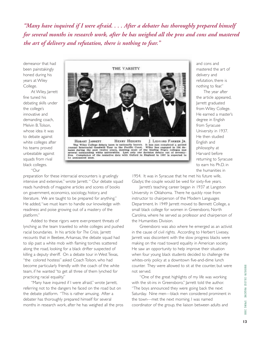*"Many have inquired if I were afraid. . . . After a debater has thoroughly prepared himself for several months in research work, after he has weighed all the pros and cons and mastered the art of delivery and refutation, there is nothing to fear."*

demeanor that had been painstakingly honed during his years at Wiley College.

At Wiley, Jarrett fine tuned his debating skills under the college's innovative and demanding coach, Melvin B.Tolson, whose idea it was to debate against white colleges after his teams proved unbeatable against squads from rival black colleges. "Our



The Wiley College detate turn is nationally known. It has not completed a second Annual Internacial Goodwill Tour to the Pacific Coast. Wiley has engaged in 196 detastes during the past twelve years, meeting nost of the le

preparation for these interracial encounters is gruelingly intensive and extensive," wrote Jarrett." Our debate squad reads hundreds of magazine articles and scores of books on government, economics, sociology, history, and literature. We are taught to be prepared for anything." He added,"we must learn to handle our knowledge with readiness and poise growing out of a mastery of the platform."

Added to these rigors were ever-present threats of lynching as the team traveled to white colleges and pushed racial boundaries. In his article for *The Crisis,* Jarrett recounts that in Beebee, Arkansas, the debate squad had to slip past a white mob with flaming torches scattered along the road, looking for a black drifter suspected of killing a deputy sheriff. On a debate tour in West Texas, "the colored hostess" asked Coach Tolson, who had become particularly friendly with the coach of the white team, if he wanted "to get all three of them lynched for practicing racial equality."

"Many have inquired if I were afraid," wrote Jarrett, referring not to the dangers he faced on the road but on the debate platform. "This is rather amusing. After a debater has thoroughly prepared himself for several months in research work, after he has weighed all the pros and cons and mastered the art of delivery and refutation, there is nothing to fear."

The year after the article appeared, Jarrett graduated from Wiley College. He earned a master's degree in English from Syracuse University in 1937. He then studied English and philosophy at Harvard before returning to Syracuse to earn his Ph.D. in the humanities in

1954. It was in Syracuse that he met his future wife, Gladys; the couple would be wed for sixty-five years.

Jarrett's teaching career began in 1937 at Langston University in Oklahoma. There he quickly rose from instructor to chairperson of the Modern Languages Department. In 1949 Jarrett moved to Bennett College, a small black college for women in Greensboro, North Carolina, where he served as professor and chairperson of the Humanities Division.

Greensboro was also where he emerged as an activist in the cause of civil rights. According to Herbert Livesey, Jarrett was discontent with the slow progress blacks were making on the road toward equality in American society. He saw an opportunity to help improve their situation when four young black students decided to challenge the whites-only policy at a downtown five-and-dime lunch counter. They were allowed to sit at the counter, but were not served.

"One of the great highlights of my life was working with the sit-ins in Greensboro," Jarrett told the author. "The boys announced they were going back the next Saturday. Nine men––black men considered prominent in the town––met the next morning. I was named coordinator of the group, the liaison between adults and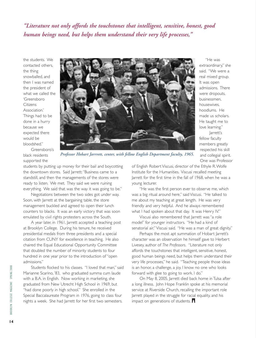*"Literature not only affords the touchstones that intelligent, sensitive, honest, good human beings need, but helps them understand their very life processes,"*

the students. We contacted others, the thing snowballed, and then I was named the president of what we called the 'Greensboro Citizens Association.' Things had to be done in a hurry because we expected there would be bloodshed."



"He was extraordinary," she said. "We were a real mixed group. It was open admissions. There were dropouts, businessmen, housewives, hoodlums. He made us scholars. He taught me to love learning." Jarrett's fellow faculty members greatly respected his skill and collegial spirit. One was Professor

Greensboro's black residents supported the

*Professor Hobart Jarrrett, center, with fellow English Department faculty, 1965.*

students by putting up money for their bail and boycotting the downtown stores. Said Jarrett:"Business came to a standstill, and then the managements of the stores were ready to listen. We met. They said we were ruining everything. We said that was the way it was going to be."

Negotiations between the two sides got under way. Soon, with Jarrett at the bargaining table, the store management buckled and agreed to open their lunch counters to blacks. It was an early victory that was soon emulated by civil rights protesters across the South.

A year later, in 1961, Jarrett accepted a teaching post at Brooklyn College. During his tenure, he received presidential medals from three presidents and a special citation from CUNY for excellence in teaching. He also chaired the Equal Educational Opportunity Committee that doubled the number of minority students to four hundred in one year prior to the introduction of "open admissions."

Students flocked to his classes. "I loved that man," said Marianne Scarino, '83, who graduated summa cum laude with a B.A. in English. Now working in marketing, she graduated from New Utrecht High School in 1969, but "had done poorly in high school." She enrolled in the Special Baccalaureate Program in 1976, going to class four nights a week. She had Jarrett for her first two semesters.

of English Robert Viscusi, director of the Ethyle R.Wolfe Institute for the Humanities. Viscusi recalled meeting Jarrett for the first time in the fall of 1968, when he was a young lecturer.

"He was the first person ever to observe me, which was a big ritual around here," said Viscusi. "He talked to me about my teaching at great length. He was very friendly and very helpful. And he always remembered what I had spoken about that day. It was Henry IV."

Viscusi also remembered that Jarrett was "a role model" for younger instructors. "He had a kind of senatorial air,"Viscusi said. "He was a man of great dignity."

Perhaps the most apt summation of Hobart Jarrett's character was an observation he himself gave to Herbert Livesey, author of *The Professors.* "Literature not only affords the touchstones that intelligent, sensitive, honest, good human beings need, but helps them understand their very life processes," he said. "Teaching people those ideas is an honor, a challenge, a joy. I know no one who looks forward with glee to going to work. I do."

On May 8, 2005, Jarrett died back home in Tulsa after a long illness. John Hope Franklin spoke at his memorial service at Riverside Church, recalling the important role Jarrett played in the struggle for racial equality, and his impact on generations of students.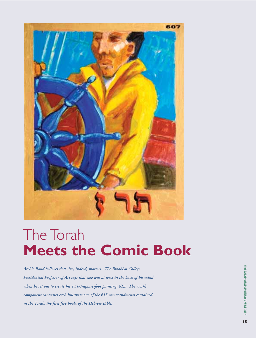

## The Torah **Meets the Comic Book**

*Archie Rand believes that size, indeed, matters. The Brooklyn College Presidential Professor of Art says that size was at least in the back of his mind when he set out to create his 1,700-square-foot painting, 613. The work's component canvasses each illustrate one of the 613 commandments contained in the Torah, the first five books of the Hebrew Bible.*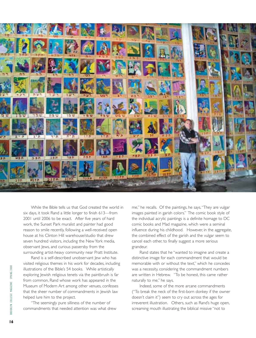

While the Bible tells us that God created the world in six days, it took Rand a little longer to finish 613—from 2001 until 2006 to be exact. After five years of hard work, the Sunset Park muralist and painter had good reason to smile recently, following a well-received open house at his Clinton Hill warehouse/studio that drew seven hundred visitors, including the New York media, observant Jews, and curious passersby from the surrounding artist-heavy community near Pratt Institute.

Rand is a self-described unobservant Jew who has visited religious themes in his work for decades, including illustrations of the Bible's 54 books. While artistically exploring Jewish religious tenets via the paintbrush is far from common, Rand whose work has appeared in the Museum of Modern Art among other venues, confesses that the sheer number of commandments in Jewish law helped lure him to the project.

"The seemingly pure silliness of the number of commandments that needed attention was what drew

me," he recalls. Of the paintings, he says,"They are vulgar images painted in garish colors." The comic book style of the individual acrylic paintings is a definite homage to DC comic books and Mad magazine, which were a seminal influence during his childhood. However, in the aggregate, the combined effect of the garish and the vulgar seem to cancel each other, to finally suggest a more serious grandeur.

Rand states that he "wanted to imagine and create a distinctive image for each commandment that would be memorable with or without the text," which he concedes was a necessity, considering the commandment numbers are written in Hebrew. "To be honest, this came rather naturally to me," he says.

Indeed, some of the more arcane commandments ("To break the neck of the first-born donkey if the owner doesn't claim it") seem to cry out across the ages for irreverent illustration. Others, such as Rand's huge open, screaming mouth illustrating the biblical missive "not to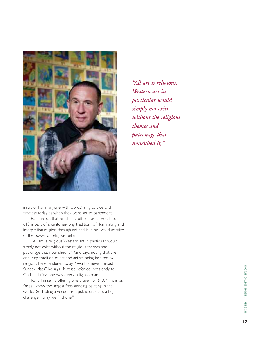

insult or harm anyone with words," ring as true and timeless today as when they were set to parchment.

Rand insists that his slightly off-center approach to 613 is part of a centuries-long tradition of illuminating and interpreting religion through art and is in no way dismissive of the power of religious belief.

"All art is religious.Western art in particular would simply not exist without the religious themes and patronage that nourished it," Rand says, noting that the enduring tradition of art and artists being inspired by religious belief endures today. "Warhol never missed Sunday Mass," he says."Matisse referred incessantly to God, and Cezanne was a very religious man."

Rand himself is offering one prayer for 613:"This is, as far as I know, the largest free-standing painting in the world. So finding a venue for a public display is a huge challenge. I pray we find one."

*"All art is religious. Western art in particular would simply not exist without the religious themes and patronage that nourished it,"*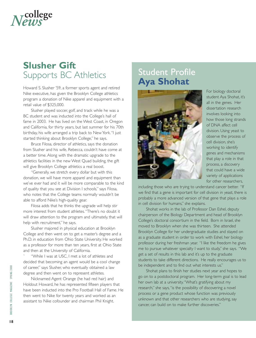

#### **Slusher Gift**  Supports BC Athletics

Howard S. Slusher '59, a former sports agent and retired Nike executive, has given the Brooklyn College athletics program a donation of Nike apparel and equipment with a retail value of \$325,000.

Slusher played soccer, golf, and track while he was a BC student and was inducted into the College's hall of fame in 2003. He has lived on the West Coast, in Oregon and California, for thirty years, but last summer for his 70th birthday, his wife arranged a trip back to New York."I just started thinking about Brooklyn College," he says.

Bruce Filosa, director of athletics, says the donation from Slusher and his wife, Rebecca, couldn't have come at a better time. Along with the dramatic upgrade to the athletics facilities in the new West Quad building, the gift will give Brooklyn College athletics a real boost.

"Generally, we stretch every dollar but with this donation, we will have more apparel and equipment than we've ever had and it will be more comparable to the kind of quality that you see at Division I schools," says Filosa, who notes that the College teams normally wouldn't be able to afford Nike's high-quality gear.

Filosa adds that he thinks the upgrade will help stir more interest from student athletes."There's no doubt it will draw attention to the program and ultimately, that will help with recruitment," he says.

Slusher majored in physical education at Brooklyn College and then went on to get a master's degree and a Ph.D. in education from Ohio State University. He worked as a professor for more than ten years, first at Ohio State and then at the University of California.

"While I was at USC, I met a lot of athletes and decided that becoming an agent would be a cool change of career," says Slusher, who eventually obtained a law degree and then went on to represent athletes.

Nicknamed Agent Orange (he had red hair) and Holdout Howard, he has represented fifteen players that have been inducted into the Pro Football Hall of Fame. He then went to Nike for twenty years and worked as an assistant to Nike cofounder and chairman Phil Knight.

#### Student Profile **Aya Shohat**



For biology doctoral student Aya Shohat, it's all in the genes. Her dissertation research involves looking into how those long strands of DNA affect cell division. Using yeast to observe the process of cell division, she's working to identify genes and mechanisms that play a role in that process, a discovery that could have a wide variety of applications for other researchers,

including those who are trying to understand cancer better. "If we find that a gene is important for cell division in yeast, there is probably a more advanced version of that gene that plays a role in cell division for humans," she explains.

Shohat works in the lab of Professor Dan Eshel, deputy chairperson of the Biology Department and head of Brooklyn College's doctoral consortium in the field. Born in Israel, she moved to Brooklyn when she was thirteen. She attended Brooklyn College for her undergraduate studies and stayed on as a graduate student in order to work with Eshel, her biology professor during her freshman year. "I like the freedom he gives me to pursue whatever specialty I want to study," she says. "We get a set of results in this lab and it's up to the graduate students to take different directions. He really encourages us to be independent and to find out what interests us."

Shohat plans to finish her studies next year and hopes to go on to a postdoctoral program. Her long-term goal is to lead her own lab at a university."What's gratifying about my research," she says,"is the possibility of discovering a novel process or a gene product whose function was previously unknown and that other researchers who are studying, say cancer, can build on to make further discoveries."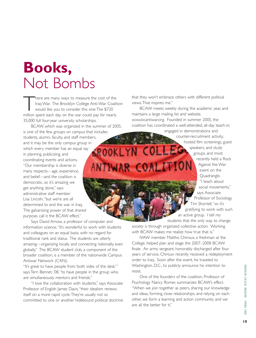## **Books,** Not Bombs

There are many ways to measure the cost of the<br>Iraq War. The Brooklyn College Anti-War Coali<br>would like you to consider this one: The \$720<br>million spent each day on the war could pay for pearly Iraq War. The Brooklyn College Anti-War Coalition would like you to consider this one:The \$720 million spent each day on the war could pay for nearly 35,000 full four-year university scholarships.

BCAW, which was organized in the summer of 2005, is one of the few groups on campus that includes students, alumni, faculty, and staff members, and it may be the only campus group in **SROOKLYN COLL** which every member has an equal say in planning, publicizing, and coordinating events and actions. ANTIWAR COALITIO "Our membership is diverse in many respects—age, experience, and belief—and the coalition is democratic, so it's amazing we get anything done," says administrative staff member Lisa Lincoln,"but we're are all determined to end the war in Iraq. The galvanizing power of that shared purpose, call it the BCAW effect."

Says David Arnow, a professor of computer and information science,"It's wonderful to work with students and colleagues on an equal basis, with no regard for traditional rank and status. The students are utterly amazing—organizing locally and connecting nationally, even globally." The BCAW student club, a component of the broader coalition, is a member of the nationwide Campus Antiwar Network (CAN).

"It's great to have people from 'both sides of the desk." says Terri Bennet, '08, "to have people in the group who are simultaneously mentors and friends."

"I love the collaboration with students," says Associate Professor of English James Davis, "their idealism renews itself on a more rapid cycle.They're usually not so committed to one or another hidebound political doctrine

that they won't embrace others with different political views.That inspires me."

BCAW meets weekly during the academic year, and maintains a large mailing list and website, www.bcantiwar.org. Founded in summer 2005, the coalition has coordinated a well-attended, all-day teach-in;

> engaged in demonstrations and counter-recruitment activity, hosted film screenings, guest speakers, and study groups, and most recently held a Rock Against the War event on the Quadrangle. "I teach about social movements," says Associate Professor of Sociology Tim Shortell,"so it's gratifying to work with such an active group. I tell my students that the only way to change

society is through organized collective action. Working with BCAW makes me realize how true that is."

IVAW member Matthis Chiroux, a freshman at the College, helped plan and stage the 2007–2008 BCAW finale. An army sergeant, honorably discharged after four years of service, Chiroux recently received a redeployment order to Iraq. Soon after the event, he traveled to Washington, D.C., to publicly announce his intention to resist.

One of the founders of the coalition, Professor of Psychology Nancy Romer, summarizes BCAW's effect. "When we join together as peers, sharing our knowledge and ideas, forming close relationships, and relying on each other, we form a learning and action community and we are all the better for it."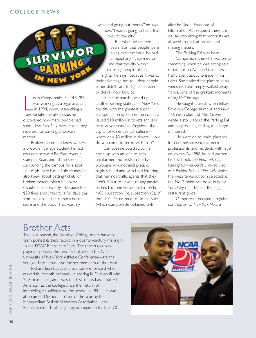ouis Camporeale, '84; M.S.<br>
was working as a legal as:<br>
in 1994, when, researchir<br>
transportation-related issue, he ouis Camporeale, '84; M.S., '87, was working as a legal assistant in 1994, when, researching a discovered how many people had sued New York City over tickets they received for parking at broken meters.

Broken meters he knew well. As a Brooklyn College student, he had routinely scoured Bedford Avenue, Campus Road, and all the streets surrounding the campus for a spot that might save him a little money. He also knew about getting tickets on broken meters, which he always disputed—successfully—because the \$20 fines amounted to a full day's pay from his jobs at the campus book store and the pool."That was my

weekend going-out money," he says now."I wasn't going to hand that over to the city."

But when he realized years later that people were suing over the issue, he had an epiphany."It dawned on me that the city wasn't informing people of their rights," he says,"because it was to their advantage not to. Most people either didn't care to fight the system or didn't know how to."

A little research turned up another striking statistic—"New York, the city with the greatest public transportation system in the country, issued \$10 million in tickets annually," he says, whereas, Los Angeles––the capital of America's car culturewrote only \$3 million in tickets."How do you come to terms with that?"

Camporeale couldn't. So he came up with an idea to help uninformed motorists in the five boroughs: A windshield placard, brightly hued and with bold lettering that reminds traffic agents that they aren't about to ticket just any passive parker.This one knows that in section 4-08, subsection (h), subsection (3), of the NYC Department of Traffic Rules, (which Camporeale obtained only

after he filed a Freedom of Information Act request) there are clauses stipulating that motorists are allowed to park at broken and missing meters.

The Parking Pal was born. Camporeale knew he was on to something when he was eating at a restaurant on Avenue U and saw a traffic agent about to issue him a ticket. She noticed the placard in his windshield and simply walked away. "It was one of the greatest moments of my life," he says.

He caught a break when fellow Brooklyn College alumnus and *New York Post* columnist Neil Graves wrote a story about the Parking Pal and his products, leading to a surge of interest.

He went on to make placards for commercial vehicles, medical professionals, and residents with legal driveways. By 1998, he had written his first book, *The New York City Parking Survival Guide: How to Deal with Parking Tickets Effectively,* which the website About.com selected as the No. 2 reference book in New York City, right behind the *Zagat* restaurant guide.

Camporeale became a regular contributor to *New York Now,* a

#### Brother Acts

This past season, the Brooklyn College men's basketball team posted its best record in a quarter-century, making it to the ECAC Metro semifinals. The team's top two players––possibly the two best players in the City University of New York Athletic Conference––are the younger brothers of two former members of the team.

Richard Jean-Baptiste, a sophomore forward who ranked fourteenth nationally in scoring in Division III with 22.8 points per game, was the first men's basketball All-American at the College since the return of intercollegiate athletics to the school in 1994. He was also named Division III player of the year by the Metropolitan Basketball Writers Association. Jean-Baptiste's older brother, Jeffrey, averaged better than 20

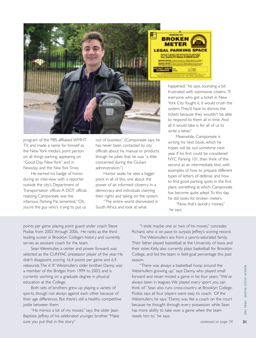

program of the PBS-affiliated WMHT-TV, and made a name for himself as the New York media's point person on all things parking, appearing on "Good Day New York" and in *Newsday* and the *New York Times.*

He earned his badge of honor during an interview with a reporter outside the city's Department of Transportation offices: A DOT official, realizing Camporeale was the infamous Parking Pal, lamented,"Oh, you're the guy who's trying to put us

out of business." (Camporeale says he has never been contacted by city officials about his manual or products though he jokes that he was "a little concerned during the Giuliani administration.")

Humor aside, he sees a bigger point in all of this, one about the power of an informed citizenry in a democracy and individuals claiming their rights and taking on the system.

"The entire world disinvested in South Africa and look at what

happened," he says, sounding a bit frustrated with submissive citizens."If everyone who got a ticket in New York City fought it, it would crush the system.They'd have to dismiss the tickets because they wouldn't be able to respond to them all in time. And all it would take is for all of us to write a letter."

Meanwhile, Camporeale is writing his next book, which he hopes will be out sometime next year. If his first could be considered NYC Parking 101, then think of the second as an intermediate text, with examples of how to prepare different types of letters of defense and how to find good parking spots in the first place, something at which Camporeale has become quite adept.To this day, he still looks for broken meters.

"Now, that's laundry money," he says.

points per game playing point guard under coach Steve Podias from 2002 through 2006. He ranks as the third leading scorer in Brooklyn College's history and currently serves as assistant coach for the team.

Sean Weismuller, a center and power forward, was selected as the CUNYAC preseason player of the year. He didn't disappoint, scoring 16.4 points per game and 6.4 rebounds.The 6' 8''Weismuller's older brother, Danny, was a member of the Bridges from 1999 to 2003, and is currently working on a graduate degree in physical education at the College.

Both sets of brothers grew up playing a variety of sports, though not always against each other because of their age differences. But there's still a healthy competitive jostle between them.

"He mimics a lot of my moves," says the older Jean-Baptiste, Jeffrey, of his celebrated younger brother."Make sure you put that in the story."

"I stole maybe one or two of his moves," concedes Richard, who is on pace to surpass Jeffrey's scoring record.

The Weismullers are from a sports-saturated family. Their father played basketball at the University of Iowa and their sister, Kelly, also currently plays basketball for Brooklyn College, and led the team in field-goal percentage this past season.

"There was always a basketball hoop around the Weismullers growing up," says Danny, who played small forward and never missed a game in his four years."We've always been in leagues.We played every sport you can think of." Sean also runs cross-country at Brooklyn College. Podias says all four players were easy to coach. Of the Weismullers, he says "Danny was like a coach on the court because he thought through every possession while Sean has more ability to take over a game when the team needs him to," he says.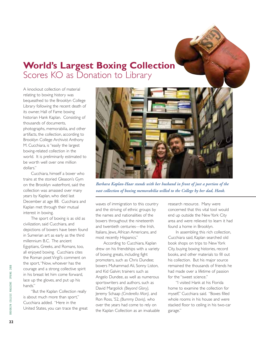#### **World's Largest Boxing Collection** Scores KO as Donation to Library

A knockout collection of material relating to boxing history was bequeathed to the Brooklyn College Library following the recent death of its owner, Hall of Fame boxing historian Hank Kaplan. Consisting of thousands of documents, photographs, memorabilia, and other artifacts, the collection, according to Brooklyn College Archivist Anthony M. Cucchiara, is "easily the largest boxing-related collection in the world. It is preliminarily estimated to be worth well over one million dollars."

Cucchiara, himself a boxer who trains at the storied Gleason's Gym on the Brooklyn waterfront, said the collection was amassed over many years by Kaplan, who died last December at age 88. Cucchiara and Kaplan met through their mutual interest in boxing.

The sport of boxing is as old as civilization, said Cucchiara, and depictions of boxers have been found in Sumerian art as early as the third millennium B.C. The ancient Egyptians, Greeks, and Romans, too, all enjoyed boxing. Cucchiara cites the Roman poet Virgil's comment on the sport,"Now, whoever has the courage and a strong collective spirit in his breast let him come forward, lace up the gloves, and put up his hands."

"But the Kaplan Collection really is about much more than sport," Cucchiara added. "Here in the United States, you can trace the great



*Barbara Kaplan-Haar stands with her husband in front of just a portion of the vast collection of boxing memorabilia willed to the College by her dad, Hank.*

waves of immigration to this country and the striving of ethnic groups by the names and nationalities of the boxers throughout the nineteenth and twentieth centuries—the Irish, Italians, Jews, African Americans, and most recently Hispanics."

According to Cucchiara, Kaplan drew on his friendships with a variety of boxing greats, including fight promoters, such as Chris Dundee; boxers Muhammad Ali, Sonny Liston, and Kid Galvin; trainers such as Angelo Dundee, as well as numerous sportswriters and authors, such as David Margolick *(Beyond Glory),* Jeremy Schaap *(Cinderella Man),* and Ron Ross, '52, *(Bummy Davis),* who over the years had come to rely on the Kaplan Collection as an invaluable research resource. Many were concerned that this vital tool would end up outside the New York City area and were relieved to learn it had found a home in Brooklyn.

In assembling this rich collection, Cucchiara said, Kaplan searched old book shops on trips to New York City, buying boxing histories, record books, and other materials to fill out his collection. But his major source remained the thousands of friends he had made over a lifetime of passion for the "sweet science."

"I visited Hank at his Florida home to examine the collection for myself," Cucchiara said. "Boxes filled whole rooms in his house and were stacked floor to ceiling in his two-car garage."

**22**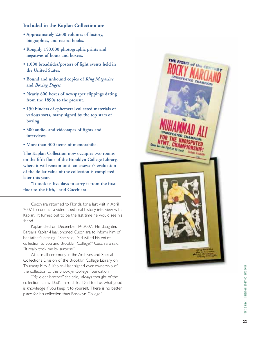#### **Included in the Kaplan Collection are**

- **Approximately 2,600 volumes of history, biographies, and record books.**
- **Roughly 150,000 photographic prints and negatives of bouts and boxers.**
- **1,000 broadsides/posters of fight events held in the United States.**
- **Bound and unbound copies of** *Ring Magazine* **and** *Boxing Digest.*
- **Nearly 800 boxes of newspaper clippings dating from the 1890s to the present.**
- **150 binders of ephemeral collected materials of various sorts, many signed by the top stars of boxing.**
- **300 audio- and videotapes of fights and interviews.**
- **More than 300 items of memorabilia.**

**The Kaplan Collection now occupies two rooms on the fifth floor of the Brooklyn College Library, where it will remain until an assessor's evaluation of the dollar value of the collection is completed later this year.**

**"It took us five days to carry it from the first floor to the fifth," said Cucchiara.**

Cucchiara returned to Florida for a last visit in April 2007 to conduct a videotaped oral history interview with Kaplan. It turned out to be the last time he would see his friend.

Kaplan died on December 14, 2007. His daughter, Barbara Kaplan-Haar, phoned Cucchiara to inform him of her father's passing. "She said,'Dad willed his entire collection to you and Brooklyn College,'" Cucchiara said. "It really took me by surprise."

At a small ceremony in the Archives and Special Collections Division of the Brooklyn College Library on Thursday, May 8, Kaplan-Haar signed over ownership of the collection to the Brooklyn College Foundation.

"My older brother," she said,"always thought of the collection as my Dad's third child. Dad told us what good is knowledge if you keep it to yourself. There is no better place for his collection than Brooklyn College."

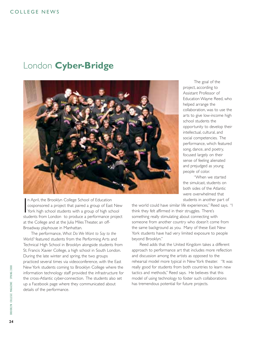#### COLLEGE NEWS

#### London **Cyber-Bridge**



In April, the Brooklyn College School of Education<br>cosponsored a project that paired a group of East New<br>York high school students with a group of high school<br>students from London to produce a performance project n April, the Brooklyn College School of Education cosponsored a project that paired a group of East New York high school students with a group of high school at the College and at the Julia Miles Theater, an off-Broadway playhouse in Manhattan.

The performance, *What Do We Want to Say to the World?* featured students from the Performing Arts and Technical High School in Brooklyn alongside students from St. Francis Xavier College, a high school in South London. During the late winter and spring, the two groups practiced several times via videoconference, with the East New York students coming to Brooklyn College where the information technology staff provided the infrastructure for the cross-Atlantic cyber-connection. The students also set up a Facebook page where they communicated about details of the performance.

The goal of the project, according to Assistant Professor of Education Wayne Reed, who helped arrange the collaboration, was to use the arts to give low-income high school students the opportunity to develop their intellectual, cultural, and social competencies. The performance, which featured song, dance, and poetry, focused largely on their sense of feeling alienated and prejudged as young people of color.

"When we started the simulcast, students on both sides of the Atlantic were overwhelmed that students in another part of

the world could have similar life experiences," Reed says. "I think they felt affirmed in their struggles. There's something really stimulating about connecting with someone from another country who doesn't come from the same background as you. Many of these East New York students have had very limited exposure to people beyond Brooklyn."

Reed adds that the United Kingdom takes a different approach to performance art that includes more reflection and discussion among the artists as opposed to the rehearsal model more typical in New York theater. "It was really good for students from both countries to learn new tactics and methods," Reed says. He believes that this model of using technology to foster such collaborations has tremendous potential for future projects.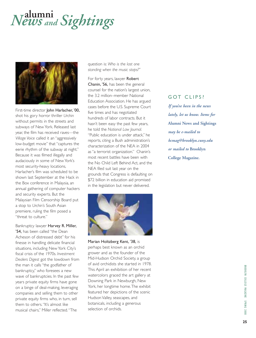## **alumni** *News and Sightings*



First-time director John Harlacher, '00, shot his gory horror thriller *Urchin* without permits in the streets and subways of New York. Released last year, the film has received raves––the *Village Voice* called it an "aggressively low-budget movie" that "captures the eerie rhythm of the subway at night." Because it was filmed illegally and audaciously in some of New York's most security-heavy locations, Harlacher's film was scheduled to be shown last September at the Hack in the Box conference in Malaysia, an annual gathering of computer hackers and security experts. But the Malaysian Film Censorship Board put a stop to *Urchin's* South Asian premiere, ruling the film posed a "threat to culture."

Bankruptcy lawyer Harvey R. Miller, '54, has been called "the Dean Acheson of distressed debt" for his finesse in handling delicate financial situations, including New York City's fiscal crisis of the 1970s. *Investment Dealers Digest* got the lowdown from the man it calls "the godfather of bankruptcy," who foresees a new wave of bankruptcies. In the past few years private equity firms have gone on a binge of deal-making, leveraging companies and selling them to other private equity firms who, in turn, sell them to others. "It's almost like musical chairs," Miller reflected."The

question is: *Who is the last one standing when the music stops?*"

For forty years, lawyer Robert Chanin, '56, has been the general counsel for the nation's largest union, the 3.2 million–member National Education Association. He has argued cases before the U.S. Supreme Court five times and has negotiated hundreds of labor contracts. But it hasn't been easy the past few years, he told the *National Law Journal.* "Public education is under attack," he reports, citing a Bush administration's characterization of the NEA in 2004 as "a terrorist organization." Chanin's most recent battles have been with the No Child Left Behind Act, and the NEA filed suit last year on the grounds that Congress is defaulting on \$72 billion in education aid promised in the legislation but never delivered.



Marian Holtzberg Kent, '38, is perhaps best known as an orchid grower and as the founder of the Mid-Hudson Orchid Society, a group of avid orchidists she started in 1978. This April an exhibition of her recent watercolors graced the art gallery at Downing Park in Newburgh, New York, her longtime home.The exhibit featured her depictions of the scenic Hudson Valley, seascapes, and botanicals, including a generous selection of orchids.

#### GOT CLIPS?

*If you've been in the news lately, let us know. Items for* **Alumni News and Sightings** *may be e-mailed to bcmag@brooklyn.cuny.edu or mailed to* **Brooklyn College Magazine.**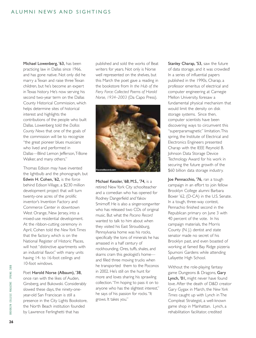Michael Lowenberg, '63, has been practicing law in Dallas since 1966, and has gone native. Not only did he marry a Texan and raise three Texan children, but he's become an expert in Texas history. He's now serving his second two-year term on the Dallas County Historical Commission, which helps determine sites of historical interest and highlights the contributions of the people who built Dallas. Lowenberg told the *Dallas County News* that one of the goals of the commission will be to recognize "the great pioneer blues musicians who lived and performed in Dallas––Blind Lemon Jefferson,T-Bone Walker, and many others."

Thomas Edison may have invented the lightbulb and the phonograph, but Edwin H. Cohen, '62, is the force behind Edison Village, a \$230 million development project that will turn twenty-one acres of the prolific inventor's Invention Factory and Commerce Center in downtown West Orange, New Jersey, into a mixed-use residential development. At the ribbon-cutting ceremony in April, Cohen told the *New York Times* that the factory, which is on the National Register of Historic Places, will host "distinctive apartments with an industrial flavor," with many units having 14- to 16-foot ceilings and 10-foot windows.

Poet Harold Norse (Albaum), '38,

once ran with the likes of Auden, Ginsberg, and Bukowski. Considerably slowed these days, the ninety-oneyear-old San Franciscan is still a presence in the City Lights Bookstore, the North Beach institution founded by Lawrence Ferlinghetti that has

published and sold the works of Beat writers for years. Not only is Norse well represented on the shelves, but this March the poet gave a reading in the bookstore from *In the Hub of the Fiery Force: Collected Poems of Harold Norse, 1934–2003* (Da Capo Press).



Michael Kessler, '68; M.S., '74, is a retired New York City schoolteacher and a comedian who has opened for Rodney Dangerfield and Yakov Smirnoff. He is also a singer-songwriter who has released two CDs of original music. But what the *Pocono Record* wanted to talk to him about when they visited his East Stroudsburg, Pennsylvania home was his rocks, specifically the tons of minerals he has amassed in a half century of rockhounding. Ores, tuffs, shales, and skarns cram this geologist's home and filled three moving trucks when he transported them to the Poconos in 2002. He's still on the hunt for more and loves sharing his sprawling collection."I'm hoping to pass it on to anyone who has the slightest interest," he says of his passion for rocks."It grows. It takes you."

Stanley Charap, '53, saw the future of data storage, and it was crowded! In a series of influential papers published in the 1990s, Charap, a professor emeritus of electrical and computer engineering at Carnegie Mellon University, foresaw a fundamental physical mechanism that would limit the density on disk storage systems. Since then, computer scientists have been discovering ways to circumvent this "superparamagnetic" limitation.This spring, the Institute of Electrical and Electronics Engineers presented Charap with the IEEE Reynold B. Johnson Data Storage Device Technology Award for his work in securing the future growth of the \$60 billion data storage industry.

Joe Pennacchio, '76, ran a tough campaign in an effort to join fellow Brooklyn College alumni Barbara Boxer '62, (D-CA) in the U.S. Senate. In a tough, three-way contest, Pennachio finished second in the Republican primary on June 3 with 40 percent of the vote. In his campaign materials, the Morris County (N. J.) dentist and state senator made no secret of his Brooklyn past, and even boasted of working at famed Bay Ridge pizzeria Spumoni Gardens while attending Lafayette High School.

Without the role-playing fantasy game Dungeons & Dragons, Gary Lynch, '01, might never have found love. After the death of D&D creator Gary Gygax in March, the *New York Times* caught up with Lynch in The Compleat Strategist, a well-known game shop in Manhattan. Lynch, a rehabilitation facilitator, credited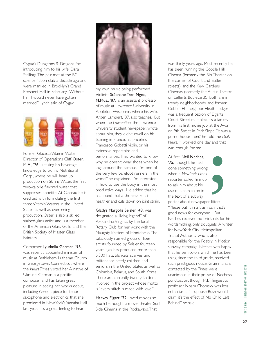Gygax's Dungeons & Dragons for introducing him to his wife, Dara Stallings.The pair met at the BC science fiction club a decade ago and were married in Brooklyn's Grand Prospect Hall in February."Without him, I would never have gotten married." Lynch said of Gygax.



Former Glaceau Vitamin Water Director of Operations Cliff Oster, M.A., '76, is taking his beverage knowledge to Skinny Nutritional Corp., where he will head up production on Skinny Water, the first zero-calorie flavored water that suppresses appetite. At Glaceau he is credited with formulating the first three Vitamin Waters in the United States as well as overseeing production. Oster is also a skilled stained-glass artist and is a member of the American Glass Guild and the British Society of Master Glass Painters.

Composer Lyudmila German, '96, was recently appointed minister of music at Bethlehem Lutheran Church in Georgetown, Connecticut, where the *News Times* visited her. A native of Ukraine, German is a prolific composer and has taken great pleasure in seeing her works debut, including *Gone,* a piece for tenor saxophone and electronics that she premiered in New York's Yamaha Hall last year:"It's a great feeling to hear



my own music being performed." Violinist Stéphane Tran Ngoc, M.Mus., '87, is an assistant professor of music at Lawrence University in Appleton,Wisconsin, where his wife, Arden Lambert, '87, also teaches. But when the *Lawrentian,* the Lawrence University student newspaper, wrote about him, they didn't dwell on his training in France, his priceless Francesco Gobetti violin, or his extensive repertoire and performances.They wanted to know why he doesn't wear shoes when he jogs around the campus."I'm one of the very few barefoot runners in the world," he explained."I'm interested in how to use the body in the most productive ways." He added that he has found that a shoeless run is healthier and cuts down on joint strain.

Gladys Margolis Seisler, '48, was designated a "living legend" of Alexandria,Virginia, by the local Rotary Club for her work with the Naughty Knitters of Montebello.The salaciously named group of fiber artists, founded by Seisler fourteen years ago, has produced more than 5,300 hats, blankets, scarves, and mittens for needy children and seniors in the United States as well as Colombia, Belarus, and South Korea. There are currently twenty knitters involved in the project whose motto is "every stitch is made with love."

Harvey Elgart, '72, loved movies so much he bought a movie theater, Surf Side Cinema in the Rockaways.That

was thirty years ago. Most recently he has been running the Cobble Hill Cinema (formerly the Rio Theater on the corner of Court and Butler streets), and the Kew Gardens Cinemas (formerly the Austin Theatre on Lefferts Boulevard). Both are in trendy neighborhoods, and former Cobble Hill neighbor Heath Ledger was a frequent patron of Elgart's Court Street multiplex. It's a far cry from his first movie job, at the Avon on 9th Street in Park Slope."It was a porno house then," he told the *Daily News.* "I worked one day and that was enough for me."

At first, Neil Neches,

'75, thought he had done something wrong when a *New York Times* reporter called him up to ask him about his use of a semicolon in the text of a subway



poster about newspaper litter: "Please put it in a trash can; that's good news for everyone." But Neches received no brickbats for his wordsmithing, only bouquets. A writer for New York City Metropolitan Transit Authority who is also responsible for the Poetry in Motion subway campaign, Neches was happy that his semicolon, which he has been using since the third grade, received such prestigious notice. Grammarians contacted by the *Times* were unanimous in their praise of Neches's punctuation, though M.I.T. linguistics professor Noam Chomsky was less enthusiastic."I suppose Bush would claim it's the effect of No Child Left Behind," he said.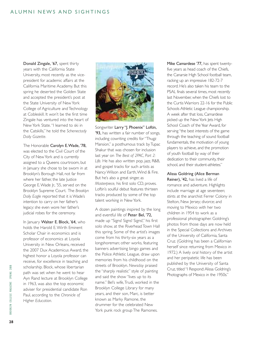Donald Zingale, '67, spent thirty years with the California State University, most recently as the vicepresident for academic affairs at the California Maritime Academy. But this spring he deserted the Golden State and accepted the president's post at the State University of New York College of Agriculture and Technology at Cobleskill. It won't be the first time Zingale has ventured into the heart of New York State."I learned to ski in the Catskills," he told the *Schenectady Daily Gazette.*

The Honorable Carolyn E.Wade, '78, was elected to the Civil Court of the City of New York and is currently assigned to a Queens courtroom, but in January she chose to be sworn in at Brooklyn's Borough Hall, not far from where her father, the late Justice George E.Wade Jr., '55, served on the Brooklyn Supreme Court. The *Brooklyn Daily Eagle* reported that it is Wade's intention to carry on her father's legacy: she even wore her father's judicial robes for the ceremony.

In January Walter E. Block, '64, who holds the Harold E.Wirth Eminent Scholar Chair in economics and is professor of economics at Loyola University in New Orleans, received the 2007 Dux Academicus Award, the highest honor a Loyola professor can receive, for excellence in teaching and scholarship. Block, whose libertarian path was set when he went to hear Ayn Rand lecture at Brooklyn College in 1963, was also the top economic adviser for presidential candidate Ron Paul, according to the *Chronicle of Higher Education.*



Songwriter Larry "J. Phoenix" Loftin, '93, has written a fair number of songs, including cowriting credits for "Thugz Mansion," a posthumous track by Tupac Shakur that was chosen for inclusion last year on *The Best of 2PAC, Part 2: Life.* He has also written pop, jazz, R&B, and gospel tracks for such artists as Nancy Wilson and Earth,Wind & Fire. But he's also a great singer, as *Masterpiece,* his first solo CD, proves. Loftin's soulful debut features thirteen tracks produced by some of the top talent working in New York.

A dozen paintings inspired by the long and eventful life of Peter Bel, '72, made up "Signs! Signs! Signs!," his first solo show, at the Riverhead Town Hall this spring. Some of the artist's images come from his thirty-six years as a longshoreman; other works, featuring banners advertising bingo games and the Police Athletic League, draw upon memories from his childhood on the streets of Brooklyn. *Newsday* praised the "sharply realistic" style of painting and said the show "lives up to its name." Bel's wife,Trudi, worked in the Brooklyn College Library for many years, and their son, Marc, is better known as Marky Ramone, the drummer for the celebrated New York punk rock group The Ramones.

Mike Camardese '77, has spent twentyfive years as head coach of the Chiefs, the Canarsie High School football team, racking up an impressive 182-72-7 record. He's also taken his team to the PSAL finals several times, most recently last November, when the Chiefs lost to the Curtis Warriors 22-16 for the Public Schools Athletic League championship. A week after that loss, Camardese picked up the New York lets High School Coach of the Year Award, for serving "the best interests of the game through the teaching of sound football fundamentals, the motivation of young players to achieve, and the promotion of youth football by way of their dedication to their community, their school, and their student-athletes."

#### Alissa Goldring (Alice Berman

Reiner), '42, has lived a life of romance and adventure. Highlights include marriage at age seventeen; stints at the anarchist Ferrer Colony in Stelton, New Jersey; divorce; and moving to Mexico with her two children in 1954 to work as a professional photographer. Goldring's photos from those days are now held in the Special Collections and Archives of the University of California, Santa Cruz. (Goldring has been a Californian herself since returning from Mexico in 1972.) A lively oral history of the artist and her peripatetic life has been published by the University of Santa Cruz, titled "I Respond:Alissa Goldring's Photographs of Mexico in the 1950s."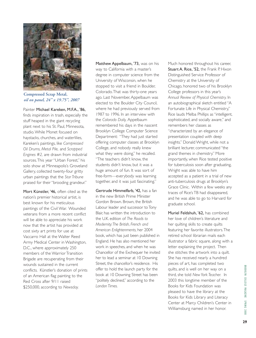

**Compressed Scrap Metal,**  *oil on panel, 24" x 19.75", 2007*

Painter Michael Kareken, M.F.A., '86, finds inspiration in trash, especially the stuff heaped in the giant recycling plant next to his St. Paul, Minnesota, studio.While Monet focused on haystacks, churches, and waterlilies, Kareken's paintings, like *Compressed Oil Drums, Metal Pile,* and *Scrapped Engines #2,* are drawn from industrial sources.This year "Urban Forest," his solo show at Minneapolis's Groveland Gallery, collected twenty-four gritty urban paintings that the *Star Tribune* praised for their "brooding grandeur."

Mort Künstler, '46, often cited as the nation's premier historical artist, is best known for his meticulous paintings of the Civil War. Wounded veterans from a more recent conflict will be able to appreciate his work now that the artist has provided at cost sixty art prints for use at Vaccarro Hall at the Walter Reed Army Medical Center in Washington, D.C., where approximately 250 members of the Warrior Transition Brigade are recuperating from their wounds sustained in the current conflicts. Künstler's donation of prints of an American flag painting to the Red Cross after 9/11 raised \$250,000, according to *Newsday.*

Matthew Appelbaum, '73, was on his way to California with a master's degree in computer science from the University of Wisconsin, when he stopped to visit a friend in Boulder, Colorado.That was thirty-one years ago. Last November, Appelbaum was elected to the Boulder City Council, where he had previously served from 1987 to 1996. In an interview with the *Colorado Daily,* Appelbaum remembered his days in the nascent Brooklyn College Computer Science Department: "They had just started offering computer classes at Brooklyn College, and nobody really knew what they were doing," he recalled. "The teachers didn't know, the students didn't know, but it was a huge amount of fun. It was sort of free-form—everybody was learning together, and it was just fascinating."

Gertrude Himmelfarb, '42, has a fan in the new British Prime Minister Gordon Brown. Brown, the British Labour leader and successor to Tony Blair, has written the introduction to the U.K. edition of *The Roads to Modernity:The British, French and American Enlightenments,* her 2004 book, which has just been published in England. He has also mentioned her work in speeches, and when he was Chancellor of the Exchequer he invited her to lead a seminar at 10 Downing Street, the chancellor's residence. His offer to hold the launch party for the book at 10 Downing Street has been "politely declined," according to the *London Times.*

Much honored throughout his career, Stuart A. Rice, '52, the Frank P. Hixon Distinguished Service Professor of Chemistry at the University of Chicago, honored two of his Brooklyn College professors in this year's *Annual Review of Physical Chemistry.* In an autobiographical sketch entitled "A Fortunate Life in Physical Chemistry," Rice lauds Melba Phillips as "intelligent, sophisticated, and socially aware," and remembers her classes as "characterized by an elegance of presentation coupled with deep insights." Donald Wright, while not a brilliant lecturer, communicated "the grand themes in chemistry." More importantly, when Rice tested positive for tuberculosis soon after graduating, Wright was able to have him accepted as a patient in a trial of new anti-tuberculosis drugs at Brooklyn's Grace Clinic. Within a few weeks any traces of Rice's TB had disappeared, and he was able to go to Harvard for graduate school.

Muriel Feldshuh, '62, has combined her love of children's literature and her quilting skills to create quilts featuring her favorite illustrators.The retired school librarian mails each illustrator a fabric square, along with a letter explaining the project. Then she stitches the artwork into a quilt. She has received nearly a hundred pieces of art, has completed two quilts, and is well on her way on a third, she told *New York Teacher.* In 2003 this longtime member of the Books for Kids Foundation was pleased to have the library at the Books for Kids Library and Literacy Center at Marcy Children's Center in Williamsburg named in her honor.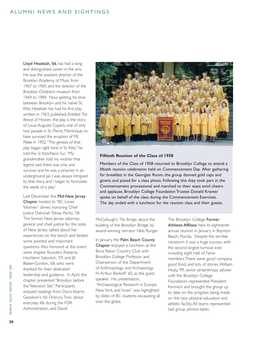Lloyd Hezekiah, '66, has had a long and distinguished career in the arts. He was the assistant director of the Brooklyn Academy of Music from 1967 to 1969, and the director of the Brooklyn Children's museum from 1969 to 1984. Now splitting his time between Brooklyn and his native St. Kitts, Hezekiah has had his first play, written in 1963, published. Entitled *The Breast of Heaven,* the play is the story of Louis-Auguste Cyparis, one of only two people in St. Pierre, Martinique, to have survived the eruption of Mt. Pelée in 1902."The genesis of that play began right here in St. Kitts," he told the *St. Kitts/Nevis Sun.*"My grandmother told my mother that legend said there was only one survivor, and he was a prisoner in an underground jail. I was always intrigued by that story, and I began to formulate the seeds of a play."

#### Last December the Mid-New Jersey

Chapter hosted its "BC Loves Women" dinner, honoring Chief Justice Deborah Tobias Poritz, '58. The former New Jersey attorney general and chief justice for the state of New Jersey talked about her experiences on the bench and fielded some pointed and important questions. Also honored at this event were chapter founders Roberta Hochlerin Salovitch, '59, and Jill Blaker-Gordon, '68, who were thanked for their dedicated leadership and guidance. In April, the chapter presented "Brooklyn before the Television Set." Participants enjoyed readings from Doris Kearns Goodwin's *No Ordinary Time,* about everyday life during the FDR Administration, and David



#### **Fiftieth Reunion of the Class of 1958**

Members of the Class of 1958 returned to Brooklyn College to attend a fiftieth reunion celebration held on Commencement Day. After gathering for breakfast in the Georgian Room, the group donned gold caps and gowns and posed for a class photo. Following this they took part in the Commencement processional and marched to their seats amid cheers and applause. Brooklyn College Foundation Trustee Donald Kramer spoke on behalf of the class during the Commencement Exercises. The day ended with a luncheon for the reunion class and their guests.

McCullough's *The Bridge,* about the building of the Brooklyn Bridge, by award-winning narrator Nels Runger.

In January, the Palm Beach County Chapter enjoyed a luncheon at the Boca Raton Country Club with Brooklyn College Professor and Chairperson of the Department of Anthropology and Archaeology H. Arthur Bankoff, '65, as the guest speaker. His presentation, "Archaeological Research in Europe, New York, and Israel," was highlighted by slides of BC students excavating all over the globe.

The Brooklyn College Former Athletes Affiliate held its eighteenth annual reunion in January, in Boynton Beach, Florida. Despite the terrible rainstorm it was a huge success, with the second largest turnout ever, including eight Hall of Fame members.There were good company, good food, and lots of stories.William Healy, '99, senior philanthropy adviser with the Brooklyn College Foundation, represented President Kimmich and brought the group up to date on the progress being made on the new physical education and athletic facility. All teams represented had group photos taken.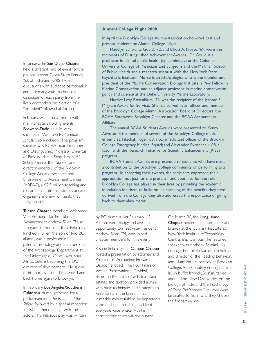In January, the San Diego Chapter held a different kind of event for the political season. Gloria Stern Penner, '52, of radio and KPBS-TV, led discussions with audience participation and a primary vote to choose a candidate for each party from the likely contenders. An election of a "president" followed all for fun.

February was a busy month with many chapters holding events. Broward-Dade held its very successful "We Love BC" annual scholarship luncheon. The program speaker was BCAA board member and Distinguished Professor Emeritus of Biology Martin Schreibman, '56. Schreibman is the founder and director emeritus of the Brooklyn College Aquatic Research and Environmental Assessment Center (AREAC), a \$2.5 million teaching and research institute that studies aquatic organisms and environments that they inhabit.

Tucson Chapter members welcomed Vice-President for Institutional Advancement Andrew Sillen, '74, as the guest of honor at their February luncheon. Sillen, the son of two BC alumni, was a professor of paleoanthropology and chairperson of the Archaeology Department at the University of Cape Town, South Africa, before becoming the UCT director of development. He spoke of his journey around the world and back home again to Brooklyn.

In February, Los Angeles/Southern California alumni gathered for a performance of *The Rabbi and the Shiksa* followed by a special reception for BC alumni on stage with the actors.This hilarious play was written

#### **Alumni College Night 2008**

In April the Brooklyn College Alumni Association honored past and present students on Alumni College Night.

Madelyn Schwartz Gould, '72, and Elliott A. Norse, '69, were the recipients of Distinguished Achievement Awards. Dr. Gould is a professor in clinical public health (epidemiology) at the Columbia University College of Physicians and Surgeons and the Mailman School of Public Health and a research scientist with the New York State Psychiatric Institute. Norse is an ichthyologist who is the founder and president of the Marine Conservation Biology Institute, a Pew Fellow in Marine Conservation, and an adjunct professor in marine conservation policy and science at the Duke University Marine Laboratory.

Harriet Levy Rosenblum, '76, was the recipient of the Jerome S. Milgram Award for Service. She has served as an officer and member of the Brooklyn College Alumni Association Board of Directors, the BCAA Southwest Brooklyn Chapter, and the BCAA Accountants Affiliate.

The annual BCAA Students Awards were presented to Kenny Advocat, '09, a member of several of the Brooklyn College music ensembles;Yitzchak Fogel, '08, a paramedic and officer of the Brooklyn College Emergency Medical Squad; and Alexander Pyronneau, '08, a tutor with the Research Initiative for Scientific Enhancement (RISE) program.

BCAA Student Awards are presented to students who have made a contribution to the Brooklyn College community or performing arts program. In accepting their awards, the recipients expressed their appreciation not just for the present honor, but also for the role Brooklyn College has played in their lives by providing the academic foundation for them to build on. In speaking of the benefits they have derived from the College, they also addressed the importance of giving back to their alma mater.

by BC alumnus Art Shulman, '63. Alumni were happy to have the opportunity to meet Vice-President Andrew Sillen, '74, who joined chapter members for this event.

Also in February, the Campus Chapter hosted a presentation by attorney and Professor of Accounting Howard Davidoff entitled,"The Four Pillars of Wealth Preservation." Davidoff, an expert in the areas of wills, trusts and estates, and taxation, provided alumni with basic techniques and strategies to keep assets in the family. In his inimitable robust fashion, he imparted a good deal of information and kept everyone wide awake with his characteristic sharp wit and humor.

On March 30, the Long Island Chapter hosted a chapter celebration brunch at the Culinary Institute at New York Institute of Technology, Central Islip Campus.The featured speaker was Anthony Sclafani, '66, distinguished professor of psychology and director of the Feeding Behavior and Nutrition Laboratory at Brooklyn College. Appropriately enough, after a lavish buffet brunch, Sclafani talked about "The New Discoveries on the Biology of Taste and the Psychology of Food Preferences." Alumni were fascinated to learn why they choose the foods they do.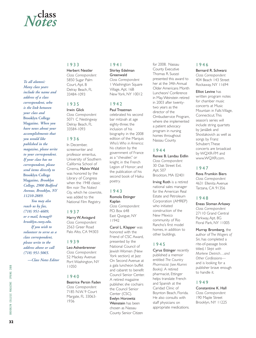## **class** *Notes*

#### *To all alumni: Many class years include the name and address of a class correspondent, who is the link between your class and* **Brooklyn College Magazine.** *When you have news about your accomplishments that you would like published in the magazine, please write to your correspondent. If your class has no correspondent, please send items directly to*  **Brooklyn College Magazine,** *Brooklyn College, 2900 Bedford Avenue, Brooklyn, NY 11210-2889. You may also reach us by fax, (718) 951-4609, or e-mail, bcmag@ brooklyn.cuny.edu. If you wish to*

*volunteer to serve as a class correspondent, please write to the address above or call (718) 951-5065.*

*—Class Notes Editor*

#### 1933

#### Herbert Nestler *Class Correspondent* 5850 Sugar Palm Court, Apt. B Delray Beach, FL 33484-1093

#### 1935

Irwin Glick *Class Correspondent* 5071 C Nestingway Delray Beach, FL 33584-1093

#### 1936

In December, screenwriter and professor emeritus, University of Southern California School of Cinema, Malvin Wald was honored by the Library of Congress when the 1948 classic film noir *The Naked City,* which he cowrote, was added to the National Film Registry.

#### 1937

#### Harry W.Anisgard

*Class Correspondent* 2563 Greer Road Palo Alto, CA 94303

#### 1939

#### Leo Ashenbrenner

*Class Correspondent* 52 Mackey Avenue Port Washington, NY 11050

#### 1940

Beatrice Persin Faden *Class Correspondent* 7185 N.W. 9 Court Margate, FL 33063- 1936

#### 1941

#### Shirley Edelman **Greenwald** *Class Correspondent* 1 Washington Square

Village, Apt. 16B New York, NY 10012

#### 1942

#### Paul Treatman

celebrated his second bar mitzvah at age eighty-three; the inclusion of his biography in the 2008 edition of the Marquis *Who's Who in America;* his citation by the government of France as a "chevalier," or knight, in the French Legion of Honor; and the publication of his second book of Haiku poetry.

#### 1943

#### Romola Ettinger Kaplan *Class Correspondent* P.O. Box 648 East Quogue, NY 11942

Carol L. Klapper was honored with the Friend of CSC Award, presented by the National Council of Jewish Women (New York section) at lazz On Second Avenue at a gala luncheon buffet and cabaret to benefit Council Senior Center. A retired magazine publisher, she cochairs the Council Senior Center (CSC). Evelyn Horowitz Weinstein has been chosen as Nassau County Senior Citizen

for 2008. Nassau County Executive Thomas R. Suozzi presented this award to her at the 34th Annual Older Americans Month Luncheon/ Conference in May.Weinstein retired in 2003 after twentytwo years as the director of the Ombudservice Program, where she implemented a patient advocacy program in nursing homes throughout Nassau County.

#### 1944

#### Renee B. Landau Eidlin

*Class Correspondent* 30 Oak Street Ext. Apt. 507 Brockton, MA 02401

Irving Roth is a retired national sales manager for the American Real Estate and Petroleum Corporation (AMREP) who initiated construction of the New Mexico community of Rio Rancho's first model homes, in addition to other buildings.

#### 1945

Cyrus Ettinger recently published a memoir entitled *The Country Pharmacist (see Alumni Books).* A retired pharmacist, Ettinger helps translate French and Spanish at the Caridad Clinic of Boynton Beach, Florida. He also consults with staff physicians on appropriate medications.

#### 1946

Bernard R. Schwarz *Class Correspondent* 404 Beach 143 Street Rockaway, NY 11694

#### Elliot Levine has

written program notes for chamber music concerts at Music Mountain in Falls Village, Connecticut.This season's series will include string quartets by Janáãek and Shostakovich as well as songs by Franz Schubert.These concerts are broadcast by WQXR-FM and www.WQXR.com.

#### 1947

Reva Frumkin Biers *Class Correspondent* 4631 Ellenita Avenue Tarzana, CA 91356

#### 1948

Eneas Sloman Arkawy *Class Correspondent* 27110 Grand Central Parkway, Apt. 8G Floral Park, NY 11005

Murray Bromberg, the author of *The Wagers of Sin,* has completed a rite-of-passage book titled*, I Slept with Marlene Dietrich…and Other Confessions* and is looking for a publisher brave enough to handle it.

#### 1949

Constantine K. Hall *Class Correspondent* 190 Maple Street Brooklyn, NY 11225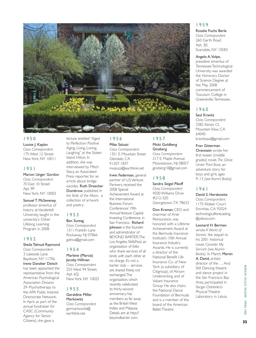

#### 1950

Louise J. Kaplan *Class Correspondent* 175 West 12 Street New York, NY 10011

#### 1951

Marion Unger Gordon *Class Correspondent* 70 East 10 Street Apt. 9P New York, NY 10003

Samuel T. McSeveney, professor emeritus of history at Vanderbilt University, taught in the university's Osher Lifelong Learning Program in 2008.

#### 1952

#### Sheila Talmud Raymond *Class Correspondent* 3 Lakeside Lane Bayshore, NY 11706 Irene Danzker Deitch has been appointed the representative from the American Psychological Association Division 29–Psychotherapy to the APA Public Interest Directorate Network. In April, as part of the annual fundraiser for CASC (Community Agency for Senior Citizens), she gave a

lecture entitled "Aged to Perfection: Positive Aging, Living, Loving, Laughing" at the Staten Island Hilton. In addition, she was interviewed by Mitch Stacy, an Associated Press reporter, for an article about bridge suicides. Ruth Drescher Dombrow published *In the Belly of the Moon,* a collection of artwork and poetry.

#### 1953

#### Ben Suntag

*Class Correspondent* 1311 Franklin Lane Rockaway, NJ 07866 gatnus@gmail.com

#### 1954

#### Marlene (Marcia) Jacoby Hillman

*Class Correspondent* 255 West 94 Street, Apt. 6Q New York, NY 10025

#### 1955

Geraldine Miller Markowitz *Class Correspondent* germarkowitz@ earthlink.net

#### 1956 Mike Saluzzi *Class Correspondent* 1351 E. Mountain Street Glendale, CA 91207-1837

msaluzzi@earthlink.net

Irwin Federman, general partner of U.S.Venture Partners, received the 2008 Special Achievement Award at the International Business Forum Conferences' 19th Annual Venture Capital Investing Conference, in San Francisco. Richard Johnson is the founder and administrator of BEYOND BARTER,The Los Angeles SkillsPool, an organization of folks who share services of all kinds with each other at no charge. It's not a barter club— services are shared freely, not exchanged.The organization, which recently celebrated its thirty-second anniversary, has members as far away as the British West Indies and Malaysia. Details are at http:// beyondbarter. com.

#### 1957 Micki Goldberg Ginsberg

*Class Correspondent* 217 E. Maple Avenue Moorestown, NJ 08057 ginsberg10@gmail.com

#### 1958

Sandra Seigel Pikoff *Class Correspondent* 4500 Williams Drive #212-320 Georgetown,TX 78633

Don Kramer, CEO and chairman of Ariel Reinsurance, was honored with a Lifetime Achievement Award at the Bermuda Insurance Institute's 10th Annual Insurance Industry Awards. He is currently a director of the National Benefit Life Insurance Co. of New York (a subsidiary of Citigroup), of Atrium Underwriting, and of Valiant Insurance Group. He also chairs the National Dance Foundation of Bermuda and is a member of the board of the American Ballet Theatre.

#### 1959

Rosalie Fuchs Berle *Class Correspondent* 260 Garth Road Apt. 3J5 Scarsdale, NY 10583

#### Angelo A.Volpe,

president emeritus of Tennessee Technological University, was awarded the Honorary Doctor of Science Degree at the May 2008 commencement of Tusculum College in Greeneville,Tennessee.

#### 1960

Saul Kravitz *Class Correspondent* 3382 Kenzo Ct. Mountain View, CA 64040 kravitzsaul@gmail.com

Fran Gitterman Orenstein wrote her first tween (middle grades) novel, *The Ghost Under Third Base,* an adventure story for boys and girls, ages 9–13 *(see Alumni Books)*.

#### 1961

David S. Herskowitz *Class Correspondent* 1175 Kildeer Court Encinitas, CA 92024 technologicalforecasting @yahoo.com

#### Leonard H. Berman

wrote *A World of Secrets,* the sequel to his 2001 historical novel, *Consider My Servant (see Alumni Books).* In March, Martin A. David, artistic director of the . . . And Still Dancing theatre and dance project in the San Francisco Bay Area, participated in Sergei Ostrenko's Physical Theatre Laboratory in Latvia.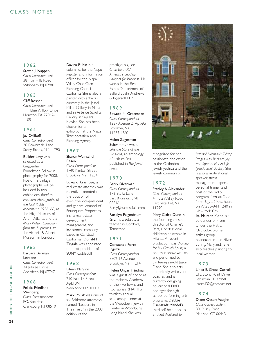#### CLASS NOTES

#### 1962

#### Steven J. Nappen

*Class Correspondent* 38 Troy Hills Road Whippany, NJ 07981

#### 1963

#### Cliff Rosner

*Class Correspondent* 111 Blue Willow Drive Houston,TX 77042- 1105

#### 1964

#### Jay Orlikoff

*Class Correspondent* 20 Beaverdale Lane Stony Brook, NY 11790

Builder Levy was selected as a Guggenheim Foundation Fellow in photography for 2008. Five of his vintage photographs will be included in two exhibitions: *Road to Freedom: Photographs of the Civil Rights Movement, 1956–68,* at the High Museum of Art in Atlanta, and the *Mary Wilson Collection from the Supremes,* at the Victoria & Albert Museum in London.

#### 1965

#### Barbara Berman Leveene

*Class Correspondent* 24 Jubilee Circle Aberdeen, NJ 07747

#### 1966

#### Felicia Friedland **Weinberg** *Class Correspondent* P.O. Box 449 Clarksburg, NJ 08510

#### Davina Rubin is a

columnist for the *Napa Register* and information officer for the Napa Valley Child Care Planning Council in California. She is also a painter with artwork currently in the Jessel Miller Gallery in Napa and in Arte de Sayulita Gallery in Sayulita, Mexico. She has been chosen for an exhibition at the Napa Transportation and

#### 1967

#### Sharon Weinschel Resen

Planning Agency.

*Class Correspondent* 1740 Kimball Street Brooklyn, NY 11234

#### Edward Krasnove, a

real estate attorney, was recently promoted to the position of executive vice-president and general counsel of Foursquare Properties, Inc., a real estate development, management, and investment company based in Carlsbad, California. Donald P. Zingale was appointed the next president of SUNY Cobleskill.

#### 1968

#### Eileen McGinn

*Class Correspondent* 210 East 15 Street Apt.10N New York, NY 10003

Mark Pollak was one of six Baltimore attorneys named "Leaders in Their Field" in the 2008 edition of the

prestigious guide *Chambers USA, America's Leading Lawyers for Business.* He works in the Real Estate Department of Ballard Spahr Andrews & Ingersoll, LLP.

#### 1969

Edward M. Greenspan *Class Correspondent* 1237 Avenue Z, Apt.6G Brooklyn, NY 11235-4360

#### Helen Zegerman

Schwimmer wrote *Like the Stars of the Heavens,* an anthology of articles first published in *The Jewish Press.*

#### 1970

#### Barry Silverman *Class Correspondent* 176 Stultz Lane East Brunswick, NJ 08816 Barry@successfulu.com

Roselyn Feigenbaum Graff is a substitute teacher in Cordova, Tennessee.

#### 1971

Constance Forte Pigozzi *Class Correspondent* 7802 16 Avenue Brooklyn, NY 11214

#### Helen Ungar Friedman

was a guest of honor at the Hebrew Academy of the Five Towns and Rockaway's (HAFTR) thirtieth annual scholarship dinner at the Woodbury Jewish Center in Woodbury, Long Island. She was



recognized for her passionate dedication to the Orthodox Jewish yeshiva and the Jewish community.

#### 1972

Stanley A. Alexander *Class Correspondent* 4 Indian Valley Road East Setauket, NY 11790

Mary Claire Dunn is the founding artistic director of Charlie's Port, a professional children's ensemble in Atlanta. A recent production was *Waiting for My Growth Spurt,* a one-man show written and performed by thirteen-year-old Jason David. She also acts periodically, writes, and coaches, and is currently designing educational DVD packages for high school performing arts programs. Debbie Eisenstadt Mandel's

third self-help book is entitled *Addicted to*

*Stress: A Woman's 7-Step Program to Reclaim Joy and Spontaneity in Life (see Alumni Books).* She is also a motivational speaker, stress management expert, personal trainer, and host of the radio program *Turn on Your Inner Light Show,* heard on WGBB–AM 1240 in New York City. Ita Mairanz Mond is a cofounder of From

Under the Hat, an Orthodox women artists group headquartered in Silver Spring, Maryland. She also teaches painting to local women.

#### 1973

Linda E. Gross Carroll 212 Stony Point Drive Sebastian, FL 32958 lcarroll32@comcast.net

#### 1974

Diane Oeters Vaughn *Class Correspondent* 80 Kelsey Place Madison, CT 06443

**SPRING 2008** 

COLLEGE MAGAZINE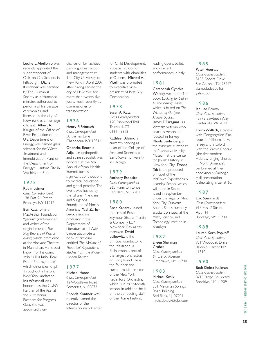**35**

Lucille L.Abellonio was recently appointed the superintendent of Clairton City Schools in Pittsburgh. Diane Kirschner was certified by The Humanist Society as a Humanist minister, authorized to perform all life passage ceremonies, and licensed by the city of New York as a marriage officiant. Albert A.

Kruger of the Office of River Protection of the U.S. Department of Energy, was named glass scientist for the Waste Treatment and Immobilization Plant on the Department of Energy's Hanford Site in Washington State.

#### 1975

#### Rubin Leitner

*Class Correspondent* 138 East 96 Street Brooklyn, NY 11212

Ben Katchor is a MacArthur Foundation

"genius" grant–winner and writer of the original musical *The Slug-Bearers of Kayrol Island,* which premiered at the Vineyard Theatre in Manhattan. He is best known for his comic strip,"Julius Knipl, Real Estate Photographer," which chronicles Knipl throughout a historic New York landscape. Iris Weinshall was honored as the CUNY Partner of the Year at the 21st Annual Partners for Progress Gala. She was

appointed vice-

chancellor for facilities planning, construction, and management at The City University of New York in April 2007, after having served the city of New York for more than twenty-five years, most recently as commissioner of transportation.

#### 1976

#### Henry P. Feintuch *Class Correspondent* 50 Barnes Lane

Chappaqua, NY 10514 Oheneba Boachie-Adjei, an orthopedic

and spine specialist, was honored at the 6th Annual African Health Summit for his significant contributions to medical education and global practice.The event was hosted by the Ghana Physicians and Surgeons Foundation of North America. Yael Zarhy-Levo, associate professor in the Department of Literature at Tel Aviv University, wrote a book of criticism entitled, *The Making of Theatrical Reputations: Studies from the Modern London Theatre.*

#### 1977

#### Michael Hanna *Class Correspondent* 12 Woodlawn Road

Somerset, NJ 08873

Rhonda Kontner was recently named the director of the Interdisciplinary Center for Child Development, a special school for students with disabilities in Queens. Michael A. Vitelli was promoted to executive vicepresident of Best Buy Corporation.

#### 1978

Susan A. Katz *Class Correspondent* 120 Pinewood Trail Trumbull, CT 06611-3313

Kathleen Alaimo is currently serving as dean of the College of Arts and Sciences at Saint Xavier University in Chicago.

#### 1979

#### Anthony Esposito

*Class Correspondent* 265 Hamilton Drive Red Bank, NJ 07701

#### 1980

Rose Kanarek joined the firm of Rosen Seymour Shapss Martin & Company LLP in New York City as tax manager. David Leibowitz is the principal conductor of the Massapequa Philharmonic, one of the largest orchestras on Long Island. He is the founder and current music director of the New York Repertory Orchestra, which is in its sixteenth season. In addition, he is on the conducting staff of the Rome Festival,

leading opera, ballet, and concert performances in Italy.

#### 1981

Gershonah Cynthia Whitley wrote her first book, *Looking for Self in All the Wrong Places,* which is based on *The Wizard of Oz (see Alumni Books).* James F. Faraguna is a Vietnam veteran who coaches American football in Turkey. Rhoda Seidenberg is the associate curator at the Yeshiva University Museum at the Center for Jewish History in New York City. Donna Tait is the proposed principal of the McCown Expeditionary Learning School, which will open in Staten Island in September under the aegis of New York City Outward Bound. She is currently assistant principal at the Math, Science, and Technology Institute in Brooklyn.

#### 1982

#### Eileen Sherman Gruber

*Class Correspondent* 69 Derby Avenue Greenlawn, NY 11740

#### 1983

#### Michael Kosik

*Class Correspondent* 331 Newman Springs Road, Building 1 Red Bank, NJ 07701 michael.kosik@ubs.com

#### 1985 Peter Huertas

*Class Correspondent* 5135 Fedora Drive San Antonio,TX 78242 alamodude2001@ yahoo.com

#### 1986

#### Ian Lee Brown

*Class Correspondent* 13978 Sawteeth Way Centerville,VA 20121

Lorna Wallach, a cantor with Congregation B'nai Israel in Millburn, New Jersey, and a soloist with the Zamir Chorale (the first modern Hebrew-singing chorus in North America), performed at their eponymous Carnegie Hall presentation, Celebrating Israel at 60.

#### 1987

Eric Steinhardt *Class Correspondent* 915 East 7 Street Apt. 1H Brooklyn, NY 11230

#### 1988

#### Lauren Korn Popkoff

*Class Correspondent* 951 Woodoak Drive Baldwin Harbor, NY 11510

#### 1990

Beth Debra Kallman *Class Correspondent* 8718 Ridge Boulevard Brooklyn, NY 11209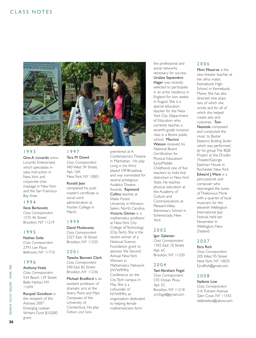

#### 1993

Gina A. Liccardo owns Liccardo Enterprises!, which specializes in salsa instruction in New York and corporate chair massage in New York and the San Francisco Bay Area.

#### 1994

Ilene Berkowitz *Class Correspondent* 1575 46 Street Brooklyn, NY 11219

#### 1995

Nathan Solat

*Class Correspondent* 2793 Lee Place Bellmore, NY 11710

#### 1996

#### Anthony Vitale

*Class Correspondent* 554 Beach 129 Street Belle Harbor, NY 11694

#### Racquel Goodison is

the recipient of the Astraea 2007 Emerging Lesbian Writers Fund \$10,000 grant.

#### 1997

Tara M. Dowd *Class Correspondent* 440 West 34 Street, Apt. 10A New York, NY 10001

#### Ronald Jean

completed his postmaster's certificate in social work administration at Hunter College in March.

#### 1999

David Moskowitz *Class Correspondent* 2327 East 18 Street

Brooklyn, NY 11235

#### 2001

Tatesha Bennett Clark *Class Correspondent* 540 East 82 Street Brooklyn, NY 11236

Michael Bradford is an assistant professor of dramatic arts at the Avery Point and Main Campuses of the University of Connecticut. His play *Fathers and Sons* 

premiered at A Contemporary Theatre in Manhattan. His play *Living in the Wind* played Off-Broadway and was nominated for several prestigious Audelco Theatre Awards. Raymond Collins teaches at Wake Forest University in Winston-Salem, North Carolina. Victoria Gitman is a mathematics professor at New York City College of Technology (City Tech). She is the recent winner of a National Science Foundation grant to sponsor the Second Annual New York Women in Mathematics Network (NYWIMN) Conference on the City Tech campus in

May. She is a cofounder of NYWIMN, an organization dedicated to helping female mathematicians form

the professional and social networks necessary for success. Uraline Septembre Hager was recently selected to participate in an artist residency in England for two weeks in August. She is a special education teacher for the New York City Department of Education who currently teaches a seventh-grade inclusion class in a Bronx public school. Maurice Watson received his National Board Certification for Physical Education/ Early/Middle Childhood, one of five teachers to hold that distinction in New York State. He teaches physical education at the Academy of Culture and Communications at Pleasant Valley Elementary School in Schenectady, New York.

#### 2002

Igor Galanter *Class Correspondent* 1342 East 18 Street Apt. 6C Brooklyn, NY 11230

#### 2004

#### Yael Abraham Fogel

*Class Correspondent* 570 Ocean Pkwy Apt. 5C Brooklyn, NY 11218 yct.fogel@gmail.com

#### 2006

Mimi Meserve is the new theater teacher at her alma mater, Kennebunk High School, in Kennebunk, Maine. She has also directed nine plays, two of which she wrote and for all of which she helped create sets and costumes. Tom Nazziola composed and conducted the music to Buster Keaton's *Battling Butler* which was performed by his group The BQE Project at the Dryden Theater/George Eastman House in Rochester, New York. Edward J. Ware is a percussionist and composer who rearranged the tunes of Thelonious Monk with a quartet of local musicians for the eleventh Wellington International Jazz Festival, held last November in Wellington, New Zealand.

#### 2007

#### Ezra Rich

*Class Correspondent* 205 West 95 Street New York, NY 10025 EzraRich@gmail.com

#### 2008

#### Stefanie Low

*Class Correspondent* 3-A Putnam Avenue Glen Cove, NY 11542 stefanielow@yahoo.com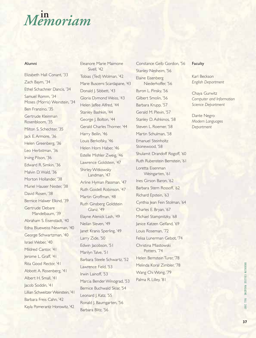## **in** *Memoriam*

#### Alumni

Elizabeth Hall Conant, '33 Zach Baym, '34 Ethel Schachner Dancis, '34 Samuel Romm, '34 Moses (Morris) Weinstein, '34 Ben Franzino, '35 Gertrude Kleinman Rosenbloom, '35 Milton S. Schechter, '35 Jack E. Armore, '36 Helen Greenberg, '36 Leo Herbstman, '36 Irving Pilson, '36 Edward R. Simkin, '36 Malvin D.Wald, '36 Morton Hollander, '38 Muriel Hauser Nester, '38 David Rosen, '38 Bernice Halwer Elkind, '39 Gertrude Debare Mandelbaum, '39 Abraham S. Eisenstadt, '40 Edna Blueweiss Newman, '40 George Schwartzman, '40 Israel Weber, '40 Mildred Cantor, '41 Jerome L. Graff, '41 Rita Good Rector, '41 Abbott A. Rosenberg, '41 Albert H. Small, '41 Jacob Soddin, '41 Lillian Schweitzer Weinstein, '41 Barbara Freis Cahn, '42 Kayla Pomerantz Horowitz, '42

Eleanore Marie Maimone Sivell, '42 Tobias (Ted) Wolman, '42 Marie Buscemi Scardapane, '43 Donald J. Sibbett, '43 Gloria Dymond Weiss, '43 Helen Jaffee Alfred, '44 Stanley Bashkin, '44 George J. Bolton, '44 Gerald Charles Thorner, '44 Harry Beilin, '46 Louis Berkofsky, '46 Helen Horn Haber, '46 Estelle Mishler Zweig, '46 Lawrence Goldstein, '47 Shirley Witkowsky Landman, '47 Arline Hyman Passman, '47 Ruth Goidell Robinson, '47 Martin Groffman, '48 Ruth Ginsberg Goldstein Glanz, '49 Elayne Alenick Lash, '49 Neilan Sleven, '49 Janet Kranis Sperling, '49 Larry Zide, '50 Edwin Jacobson, '51 Marilyn Talve, '51 Barbara Steele Schwartz, '52 Lawrence Field, '53 Irwin Lainoff, '53 Marcia Bender Winograd, '53 Bernice Buchwald Sklar, '54 Leonard J. Katz, '55 Ronald J. Baumgarten, '56 Barbara Blitz, '56

Constance Gelb Gordon, '56 Stanley Nesheim, '56 Elaine Eisenberg Niederhoffer, '56 Byron L. Pinsky, '56 Gilbert Smolin, '56 Barbara Krupp, '57 Gerald M. Plevin, '57 Stanley D. Ashkinos, '58 Steven L. Roemer, '58 Martin Schulman, '58 Emanuel Steinholtz Stonewood, '58 Shulamit Drandoff Rogoff, '60 Ruth Rubenstein Bernstein, '61 Loretta Eisenman Weingarten, '61 Ines Girson Baron, '62 Barbara Stern Rossoff, '62 Richard Epstein, '63 Cynthia Jean Fein Stolman, '64 Charles E. Bryan, '67 Michael Stampnitzky, '68 Janice Katzen Gelfand, '69 Louis Roseman, '72 Felisa Lunerman Gebot, '74 Christina Miastowski Potters, '74 Helen Bernstein Turer, '78 Melinda Koral Zimbler, '78 Wang Chi Wong, '79 Palma R. Lilley, '81

#### **Faculty**

Karl Beckson *English Department* 

Chaya Gurwitz *Computer and Information Science Department*

Dante Negro *Modern Languages Department*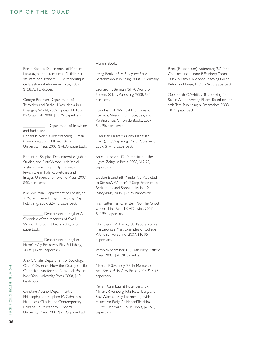#### TOP OF THE QUAD

Bernd Renner, Department of Modern Languages and Literatures. Difficile est saturam non scribere: L' Herméneutique de la satire rabelaisienne. Droz, 2007, \$158.92, hardcover.

George Rodman, Department of Television and Radio. Mass Media in a Changing World, 2009 Updated Edition. McGraw Hill, 2008, \$98.75, paperback.

\_\_\_\_\_\_\_\_\_\_\_ , Department of Television and Radio, and Ronald B. Adler. Understanding Human Communication, 10th ed. Oxford University Press, 2009, \$74.95, paperback.

Robert M. Shapiro, Department of Judaic Studies, and Piotr Wróbel. eds.Yehiel Yeshaia Trunk. Poyln: My Life within Jewish Life in Poland, Sketches and Images. University of Toronto Press, 2007, \$40, hardcover.

Mac Wellman, Department of English, ed. 7 More Different Plays. Broadway Play Publishing, 2007, \$24.95. paperback.

\_\_\_\_\_\_\_\_\_\_, Department of English. A Chronicle of the Madness of Small Worlds.Trip Street Press, 2008, \$15, paperback.

\_\_\_\_\_\_\_\_\_\_, Department of English. Harm's Way. Broadway Play Publishing, 2008, \$12.95, paperback.

Alex S.Vitale, Department of Sociology. City of Disorder: How the Quality of Life Campaign Transformed New York Politics. New York University Press, 2008, \$40, hardcover.

Christine Vitrano, Department of Philosophy, and Stephen M. Cahn. eds. Happiness: Classic and Contemporary Readings in Philosophy. Oxford University Press, 2008, \$21.95, paperback.

#### Alumni Books

Irving Benig, '65, A Story for Rose. Bertelsmann Publishing, 2008 – Germany.

Leonard H. Berman, '61, A World of Secrets. Xlibris Publishing, 2008, \$35, hardcover.

Leah Garchik, '66, Real Life Romance: Everyday Wisdom on Love, Sex, and Relationships. Chronicle Books, 2007, \$12.95, hardcover.

Hadassah Haskale (Judith Hadassah Davis), '56,Wayfaring. Mazo Publishers, 2007, \$14.95, paperback.

Bruce Isaacson, '92, Dumbstrck at the Lights. Zeitgeist Press, 2008, \$12.95, paperback.

Debbie Eisenstadt Mandel, '72, Addicted to Stress: A Woman's 7 Step Program to Reclaim Joy and Spontaneity in Life. Jossey-Bass, 2008, \$22.95, hardcover.

Fran Gitterman Orenstein, '60,The Ghost Under Third Base.TRIAD Twins, 2007, \$10.95, paperback.

Christopher A. Puello, '80, Papers from a Harvard/Yale Man: Examples of College Work. iUniverse Inc., 2007, \$10.95, paperback.

Veronica Schreiber, '01, Flash Baby.Trafford Press, 2007, \$20.78, paperback.

Michael P. Sweeney, '88, In Memory of the Fast Break. Plain View Press, 2008, \$14.95, paperback.

Rena (Rosenbaum) Rotenberg, '57, Miriam, P. Feinberg, Rita Rotenberg, and Saul Wachs, Lively Legends – Jewish Values: An Early Childhood Teaching Guide. Behrman House, 1993, \$29.95, paperback.

Rena (Rosenbaum) Rotenberg, '57,Yona Chubara, and Miriam P. Feinberg,Torah Talk: An Early Childhood Teaching Guide. Behrman House, 1989, \$26.50, paperback.

Gershonah C.Whitley, '81, Looking for Self in All the Wrong Places: Based on the Wiz.Tate Publishing & Enterprises, 2008, \$8.99, paperback.

**38**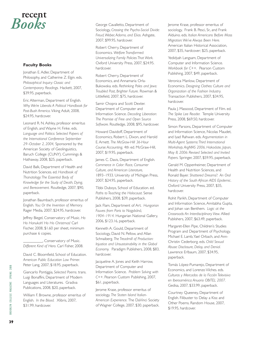#### **recent** *Books*

#### **Faculty Books**

Jonathan E. Adler, Department of Philosophy, and Catherine Z. Elgin. eds. *Philosophical Inquiry: Classic and Contemporary Readings.* Hackett, 2007, \$39.95, paperback.

Eric Alterman, Department of English. *Why We're Liberals: A Political Handbook for Post-Bush America.* Viking Adult, 2008, \$24.95, hardcover.

Leonard R. N. Ashley, professor emeritus of English, and Wayne H. Finke. eds. *Language and Politics: Selected Papers of the International Conference September 29–October 2, 2004,* Sponsored by the American Society of Geolinguistics, Baruch College (CUNY). Cummings & Hathaway, 2008, \$25, paperback.

David Balk, Department of Health and Nutrition Sciences. ed. *Handbook of Thanatology:The Essential Body of Knowledge for the Study of Death, Dying, and Bereavement.* Routledge, 2007, \$90, paperback.

Jonathan Baumbach, professor emeritus of English. *You: Or the Invention of Memory.* Rager Media, 2007, \$24.95, hardcover.

Jeffrey Biegel, Conservatory of Music. *Ho Ho Hanukah! Ho Ho Christmas!* Carl Fischer, 2008, \$1.60 per sheet, minimum purchase 6 copies.

\_\_\_\_\_\_\_\_\_\_, Conservatory of Music. *Different Kind of Hero.* Carl Fisher, 2008.

David C. Bloomfield, School of Education. *American Public Education Law Primer.* Peter Lang, 2007, \$18.95, paperback.

Giancarlo Pontiggia, *Selected Poems.* trans. Luigi Bonaffini, Department of Modern Languages and Literatures. Gradiva Publications, 2008, \$20, paperback.

William F. Browne, professor emeritus of English. *In the Blood.* Xlibris, 2007, \$31.99, hardcover.

George Cavalletto, Department of Sociology, *Crossing the Psycho-Social Divide: Freud,Weber, Adorno, and Elias.* Ashgate, 2007, \$99.95, hardcover.

Robert Cherry, Department of Economics. *Welfare Transformed: Universalizing Family Policies That Work.* Oxford University Press, 2007, \$24.95. hardcover.

Robert Cherry, Department of Economics, and Annamaria Orla-Bukowska. eds. *Rethinking Poles and Jews: Troubled Past, Brighter Future.* Rowman & Littlefield, 2007, \$75, hardcover.

Samir Chopra and Scott Dexter. Department of Computer and Information Science. *Decoding Liberation: The Promise of Free and Open Source Software.* Routledge, 2008, \$95, hardcover.

Howard Davidoff, Department of Economics, Robert L. Dixon, and Harold E. Arnett. *The McGraw-Hill 36-Hour Course: Accounting,* 4th ed. McGraw-Hill, 2007, \$19.95, paperback.

James C. Davis, Department of English. *Commerce in Color: Race, Consumer Culture, and American Literature,* 1893–1933. University of Michigan Press, 2007, \$24.95, paperback.

Tibbi Duboys, School of Education. ed. *Paths to Teaching the Holocaust.* Sense Publishers, 2008, \$39, paperback.

Jack Flam, Department of Art. *Hungarian Fauves from Paris to Nagybáná, 1904–1914.* Hungarian National Gallery, 2006, \$123.16, paperback.

Kenneth A. Gould, Department of Sociology, David N. Pellow, and Allan Schnaiberg. *The Treadmill of Production: Injustice and Unsustainability in the Global Economy.* Paradigm Publishers, 2008, \$83, hardcover.

Jacqueline A. Jones and Keith Harrow, Department of Computer and Information Science. *Problem Solving with C++.* Pearson Custom Publishing, 2007, \$61, paperback.

Jerome Krase, professor emeritus of sociology, *The Staten Island Italian-American Experience.* The DaVinci Society of Wagner College, 2007, \$30. paperback.

Jerome Krase, professor emeritus of sociology, Frank B. Pesci, Sr., and Frank Alduino. eds. *Italian Americans Before Mass Migration:We've Always Been Here.* American Italian Historical Association, 2007, \$35, hardcover; \$25, paperback.

Yedidyah Langsam, Department of Computer and Information Science. *Workbook for C++.* Pearson Custom Publishing, 2007, \$49, paperback.

Veronica Manlow, Department of Economics. *Designing Clothes: Culture and Organization of the Fashion Industry.* Transaction Publishers, 2007, \$34.95, hardcover.

Paula J. Massood, Department of Film. ed. *The Spike Lee Reader.* Temple University Press, 2008, \$69.50, hardcover.

Simon Parsons, Department of Computer and Information Science, Nicolas Maudet, and Iyad Rahwan. eds. *Argumentation in Multi-Agent Systems:Third International Workshop, ArgMAS 2006, Hakodate, Japan, May 8, 2006: Revised Selected and Invited Papers.* Springer, 2007, \$59.95, paperback.

Gerald M. Oppenheimer, Department of Health and Nutrition Sciences, and Ronald Bayer. *Shattered Dreams?: An Oral History of the South African AIDS Epidemic.* Oxford University Press, 2007, \$35, hardcover.

Rohit Parikh, Department of Computer and Information Science, Amitabha Gupta, and Johan van Benthem. *Logic at the Crossroads: An Interdisciplinary View.* Allied Publishers, 2007, \$63.49, paperback.

Margaret-Ellen Pipe, Children's Studies Program and Department of Psychology, Michael E. Lamb,Yael Orbach, and Ann-Christin Cederborg. eds. *Child Sexual Abuse: Disclosure, Delay, and Denial.* Lawrence Erlbaum, 2007, \$34.95, paperback.

Tomás López-Pumarejo, Department of Economics, and Lorenzo Vilches. eds. *Culturas y Mercados de la Ficción Televisiva en Iberoamérica: Anuario OBITEL 2007.* Gedisa, 2007, \$33.99, paperback.

Courtney Queeney, Department of English. Filibuster to Delay a Kiss: and Other Poems. Random House, 2007, \$19.95, hardcover.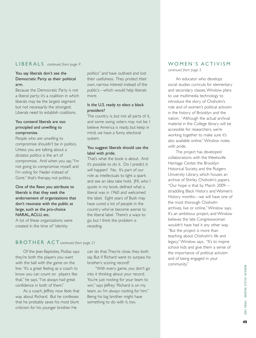#### LIBERALS *continued from page 9*

#### You say liberals don't see the Democratic Party as their political arm.

Because the Democratic Party is not a liberal party; it's a coalition in which liberals may be the largest segment but not necessarily the strongest. Liberals need to establish coalitions.

#### You contend liberals are too principled and unwilling to compromise.

People who are unwilling to compromise shouldn't be in politics. Unless you are talking about a dictator, politics is the art of compromise. And when you say,"I'm not going to compromise myself, and I'm voting for Nader instead of Gore," that's therapy, not politics.

One of the flaws you attribute to liberals is that they seek the endorsement of organizations that don't resonate with the public at large, such as the pro-choice NARAL,ACLU, etc.

A lot of these organizations were created in the time of "identity

politics" and have outlived and lost their usefulness. They protect their own, narrow interest instead of the public's—which would help liberals more.

#### Is the U.S. ready to elect a black president?

The country is, but not all parts of it, and some swing voters may not be. I believe America is ready, but keep in mind, we have a funny electoral system.

#### You suggest liberals should use the label with pride.

That's what the book is about. And it's possible to do it. Do I predict it will happen? No. It's part of our role as intellectuals to light a spark and see an idea take hold. JFK, who I quote in my book, defined what a liberal was in 1960 and welcomed the label. Eight years of Bush may have cured a lot of people in the country who've become averse to the liberal label. There's a ways to go, but I think the problem is receding.

#### BROTHER ACT *continued from page 21*

Of the Jean-Baptistes, Podias says they're both the players you want with the ball with the game on the line."It's a great feeling as a coach to know you can count on players like that," he says."I've always had great confidence in both of them."

As a coach, Jeffrey now feels that way about Richard. But he confesses that he probably saves his most blunt criticism for his younger brother. He

can do that.They're close, they both say. But if Richard were to surpass his brother's scoring record?

"With every game, you don't go into it thinking about your record. You're just rooting for your team to win," says Jeffrey. "Richard is on my team, so I'm always rooting for him." Being his big brother might have something to do with it, too.

#### WOMEN'S ACTIVISM

*continued from page 5*

An educator who develops social studies curricula for elementary and secondary classes,Winslow plans to use multimedia technology to introduce the story of Chisholm's role and of women's political activism in the history of Brooklyn and the nation. "Although the actual archival material in the College library will be accessible for researchers, we're working together to make sure it's also available online,"Winslow notes with pride.

The project has developed collaborations with the Weeksville Heritage Center, the Brooklyn Historical Society, and the Rutgers University Library, which houses an archive of Shirley Chisholm's papers. "Our hope is that by March 2009 straddling Black History and Women's History months—we will have one of the most thorough Chisholm archives, live or online,"Winslow says. It's an ambitious project, and Winslow believes the late Congresswoman wouldn't have had it any other way. "But the project is more than teaching about Chisholm's life and legacy,"Winslow says. "It's to inspire school kids and give them a sense of the importance of political activism and of being engaged in your community."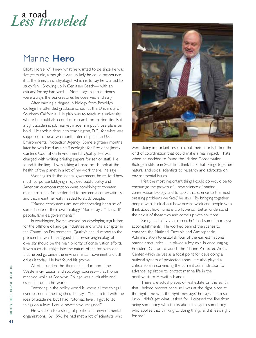## **a road** *Less traveled*

#### Marine **Hero**

Elliott Norse, '69, knew what he wanted to be since he was five years old, although it was unlikely he could pronounce it at the time: an ichthyologist, which is to say he wanted to study fish. Growing up in Gerritsen Beach—"with an estuary for my backyard"—Norse says his true friends were always the sea creatures he observed endlessly.

After earning a degree in biology from Brooklyn College he attended graduate school at the University of Southern California. His plan was to teach at a university where he could also conduct research on marine life. But a tight academic job market made him put those plans on hold. He took a detour to Washington, D.C., for what was supposed to be a two-month internship at the U.S. Environmental Protection Agency. Some eighteen months later he was hired as a staff ecologist for President Jimmy Carter's Council on Environmental Quality. He was charged with writing briefing papers for senior staff. He found it thrilling. "I was taking a broad-brush look at the health of the planet in a lot of my work there," he says.

Working inside the federal government, he realized how much corporate lobbying, misguided public policy, and American overconsumption were combining to threaten marine habitats. So he decided to become a conservationist, and that meant he really needed to study people.

"Marine ecosystems are not disappearing because of some failure of their own biology," Norse says. "It's us. It's people, families, governments."

In Washington, Norse worked on developing regulations for the offshore oil and gas industries and wrote a chapter in the Council on Environmental Quality's annual report to the president in which he argued that preserving ecological diversity should be the main priority of conservation efforts. It was a crucial insight into the nature of the problem, one that helped galvanize the environmental movement and still drives it today. He had found his groove.

All of a sudden, the liberal arts education—the Western civilization and sociology courses—that Norse received while at Brooklyn College was a valuable and essential tool in his work.

"Working in the policy world is where all the things I ever learned came together," he says. "I still flirted with the idea of academe, but I had Potomac fever. I got to do things on a level I could never have imagined."

He went on to a string of positions at environmental organizations. By 1996, he had met a lot of scientists who



were doing important research, but their efforts lacked the kind of coordination that could make a real impact. That's when he decided to found the Marine Conservation Biology Institute in Seattle, a think tank that brings together natural and social scientists to research and advocate on environmental issues.

"I felt the most important thing I could do would be to encourage the growth of a new science of marine conservation biology and to apply that science to the most pressing problems we face," he says. "By bringing together people who think about how oceans work and people who think about how humans work, we can better understand the nexus of those two and come up with solutions."

During his thirty-year career, he's had some impressive accomplishments. He worked behind the scenes to convince the National Oceanic and Atmospheric Administration to establish four of the earliest national marine sanctuaries. He played a key role in encouraging President Clinton to launch the Marine Protected Areas Center, which serves as a focal point for developing a national system of protected areas. He also played a critical role in convincing the current administration to advance legislation to protect marine life in the northwestern Hawaiian Islands.

"There are actual pieces of real estate on this earth that I helped protect because I was at the right place at the right time with the right message," he says. "I am so lucky I didn't get what I asked for. I crossed the line from being somebody who thinks about things to somebody who applies that thinking to doing things, and it feels right for me."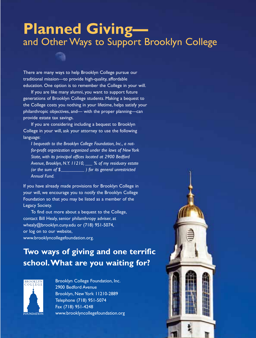## **Planned Giving** and Other Ways to Support Brooklyn College

There are many ways to help Brooklyn College pursue our traditional mission—to provide high-quality, affordable education. One option is to remember the College in your will.

If you are like many alumni, you want to support future generations of Brooklyn College students. Making a bequest to the College costs you nothing in your lifetime, helps satisfy your philanthropic objectives, and— with the proper planning—can provide estate tax savings.

If you are considering including a bequest to Brooklyn College in your will, ask your attorney to use the following language:

*I bequeath to the Brooklyn College Foundation, Inc., a notfor-profit organization organized under the laws of New York State, with its principal offices located at 2900 Bedford Avenue, Brooklyn, N.Y. 11210, \_\_\_ % of my residuary estate (or the sum of \$\_\_\_\_\_\_\_\_\_\_ ) for its general unrestricted Annual Fund.*

If you have already made provisions for Brooklyn College in your will, we encourage you to notify the Brooklyn College Foundation so that you may be listed as a member of the Legacy Society.

To find out more about a bequest to the College, contact Bill Healy, senior philanthropy adviser, at whealy@brooklyn.cuny.edu or (718) 951-5074, or log on to our website, www.brooklyncollegefoundation.org.

#### **Two ways of giving and one terrific school.What are you waiting for?**



Brooklyn College Foundation, Inc. 2900 Bedford Avenue Brooklyn, New York 11210-2889 Telephone (718) 951-5074 Fax (718) 951-4248 www.brooklyncollegefoundation.org